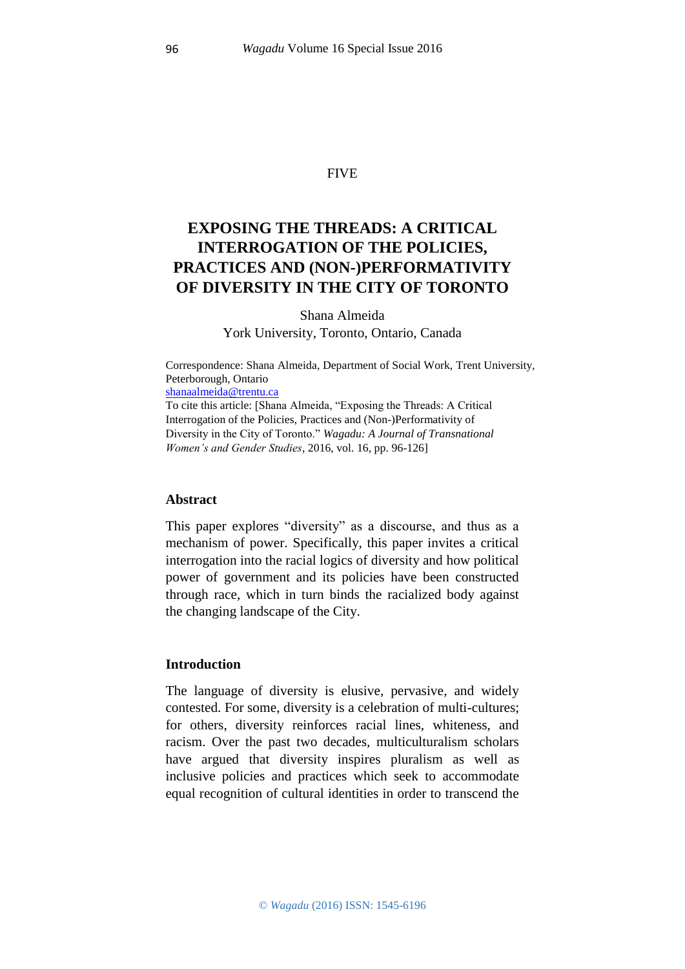## FIVE

# **EXPOSING THE THREADS: A CRITICAL INTERROGATION OF THE POLICIES, PRACTICES AND (NON-)PERFORMATIVITY OF DIVERSITY IN THE CITY OF TORONTO**

Shana Almeida York University, Toronto, Ontario, Canada

Correspondence: Shana Almeida, Department of Social Work, Trent University, Peterborough, Ontario [shanaalmeida@trentu.ca](https://webmail.server.uni-frankfurt.de/horde/imp/dynamic.php?page=mailbox) To cite this article: [Shana Almeida, "Exposing the Threads: A Critical Interrogation of the Policies, Practices and (Non-)Performativity of Diversity in the City of Toronto." *Wagadu: A Journal of Transnational Women's and Gender Studies*, 2016, vol. 16, pp. 96-126]

#### **Abstract**

This paper explores "diversity" as a discourse, and thus as a mechanism of power. Specifically, this paper invites a critical interrogation into the racial logics of diversity and how political power of government and its policies have been constructed through race, which in turn binds the racialized body against the changing landscape of the City.

#### **Introduction**

The language of diversity is elusive, pervasive, and widely contested. For some, diversity is a celebration of multi-cultures; for others, diversity reinforces racial lines, whiteness, and racism. Over the past two decades, multiculturalism scholars have argued that diversity inspires pluralism as well as inclusive policies and practices which seek to accommodate equal recognition of cultural identities in order to transcend the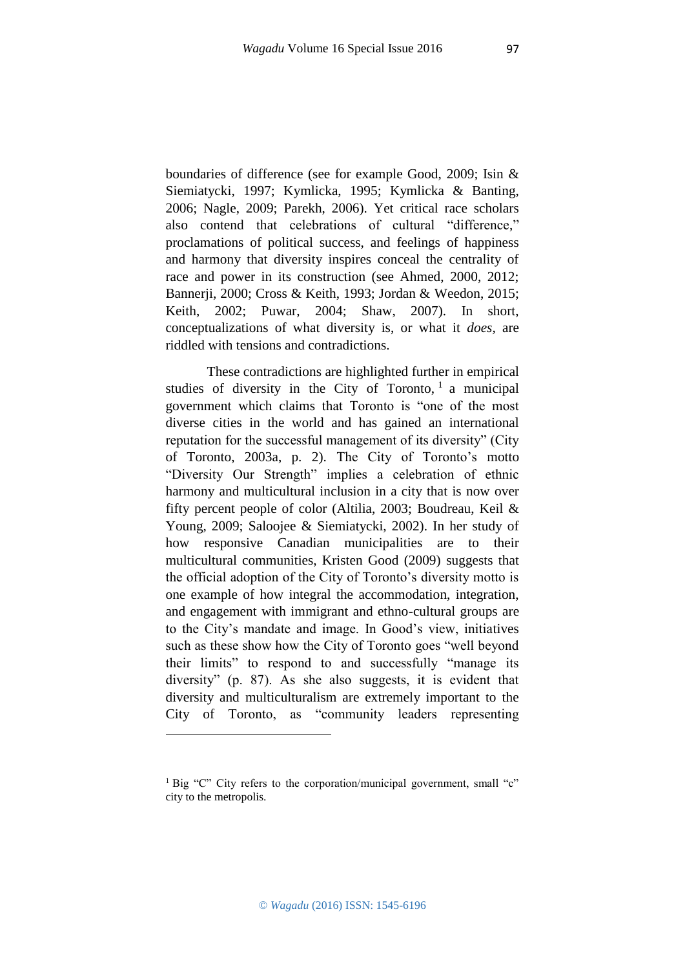97

boundaries of difference (see for example Good, 2009; Isin & Siemiatycki, 1997; Kymlicka, 1995; Kymlicka & Banting, 2006; Nagle, 2009; Parekh, 2006). Yet critical race scholars also contend that celebrations of cultural "difference," proclamations of political success, and feelings of happiness and harmony that diversity inspires conceal the centrality of race and power in its construction (see Ahmed, 2000, 2012; Bannerji, 2000; Cross & Keith, 1993; Jordan & Weedon, 2015; Keith, 2002; Puwar, 2004; Shaw, 2007). In short, conceptualizations of what diversity is, or what it *does,* are riddled with tensions and contradictions.

These contradictions are highlighted further in empirical studies of diversity in the City of Toronto,  $1$  a municipal government which claims that Toronto is "one of the most diverse cities in the world and has gained an international reputation for the successful management of its diversity" (City of Toronto, 2003a, p. 2). The City of Toronto's motto "Diversity Our Strength" implies a celebration of ethnic harmony and multicultural inclusion in a city that is now over fifty percent people of color (Altilia, 2003; Boudreau, Keil & Young, 2009; Saloojee & Siemiatycki, 2002). In her study of how responsive Canadian municipalities are to their multicultural communities, Kristen Good (2009) suggests that the official adoption of the City of Toronto's diversity motto is one example of how integral the accommodation, integration, and engagement with immigrant and ethno-cultural groups are to the City's mandate and image. In Good's view, initiatives such as these show how the City of Toronto goes "well beyond their limits" to respond to and successfully "manage its diversity" (p. 87). As she also suggests, it is evident that diversity and multiculturalism are extremely important to the City of Toronto, as "community leaders representing

1

<sup>&</sup>lt;sup>1</sup> Big "C" City refers to the corporation/municipal government, small "c" city to the metropolis.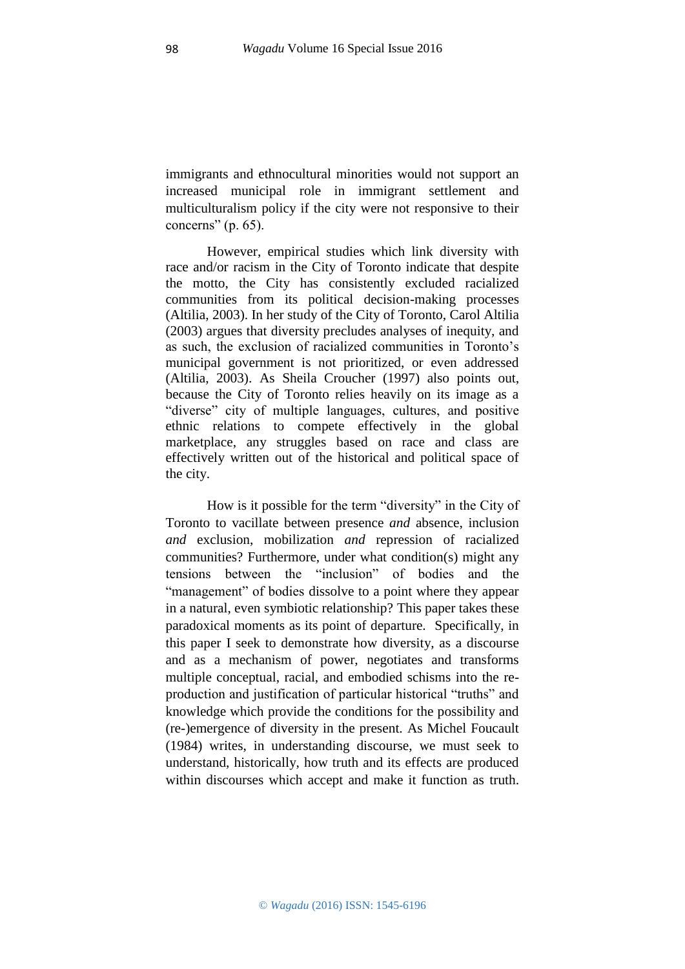immigrants and ethnocultural minorities would not support an increased municipal role in immigrant settlement and multiculturalism policy if the city were not responsive to their concerns" (p. 65).

However, empirical studies which link diversity with race and/or racism in the City of Toronto indicate that despite the motto, the City has consistently excluded racialized communities from its political decision-making processes (Altilia, 2003). In her study of the City of Toronto, Carol Altilia (2003) argues that diversity precludes analyses of inequity, and as such, the exclusion of racialized communities in Toronto's municipal government is not prioritized, or even addressed (Altilia, 2003). As Sheila Croucher (1997) also points out, because the City of Toronto relies heavily on its image as a "diverse" city of multiple languages, cultures, and positive ethnic relations to compete effectively in the global marketplace, any struggles based on race and class are effectively written out of the historical and political space of the city.

How is it possible for the term "diversity" in the City of Toronto to vacillate between presence *and* absence, inclusion *and* exclusion, mobilization *and* repression of racialized communities? Furthermore, under what condition(s) might any tensions between the "inclusion" of bodies and the "management" of bodies dissolve to a point where they appear in a natural, even symbiotic relationship? This paper takes these paradoxical moments as its point of departure. Specifically, in this paper I seek to demonstrate how diversity, as a discourse and as a mechanism of power, negotiates and transforms multiple conceptual, racial, and embodied schisms into the reproduction and justification of particular historical "truths" and knowledge which provide the conditions for the possibility and (re-)emergence of diversity in the present. As Michel Foucault (1984) writes, in understanding discourse, we must seek to understand, historically, how truth and its effects are produced within discourses which accept and make it function as truth.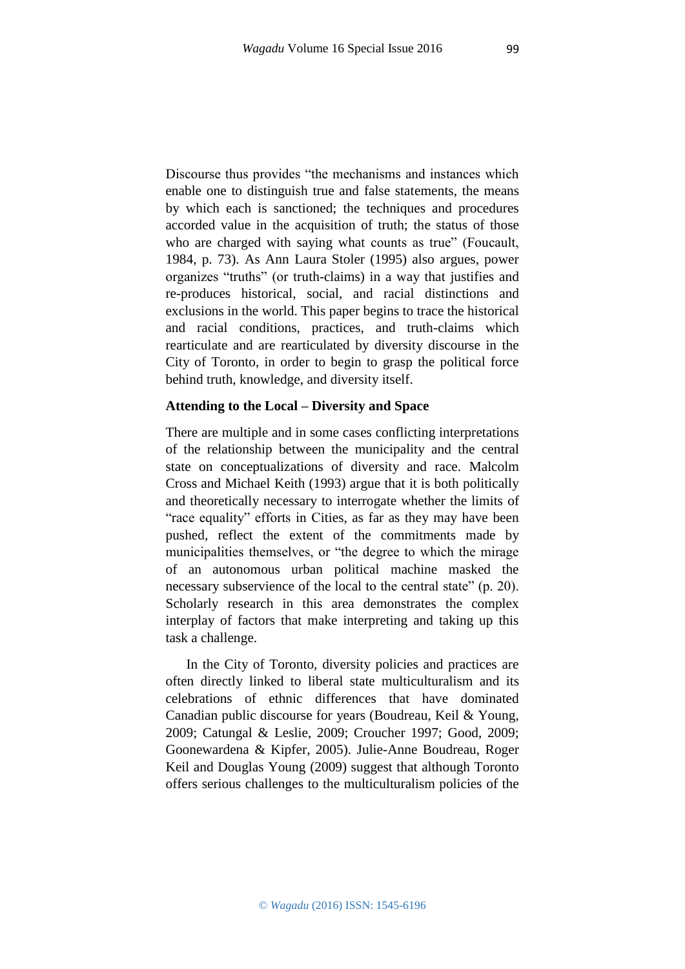Discourse thus provides "the mechanisms and instances which enable one to distinguish true and false statements, the means by which each is sanctioned; the techniques and procedures accorded value in the acquisition of truth; the status of those who are charged with saying what counts as true" (Foucault, 1984, p. 73). As Ann Laura Stoler (1995) also argues, power organizes "truths" (or truth-claims) in a way that justifies and re-produces historical, social, and racial distinctions and exclusions in the world. This paper begins to trace the historical and racial conditions, practices, and truth-claims which rearticulate and are rearticulated by diversity discourse in the City of Toronto, in order to begin to grasp the political force behind truth, knowledge, and diversity itself.

#### **Attending to the Local – Diversity and Space**

There are multiple and in some cases conflicting interpretations of the relationship between the municipality and the central state on conceptualizations of diversity and race. Malcolm Cross and Michael Keith (1993) argue that it is both politically and theoretically necessary to interrogate whether the limits of "race equality" efforts in Cities, as far as they may have been pushed, reflect the extent of the commitments made by municipalities themselves, or "the degree to which the mirage of an autonomous urban political machine masked the necessary subservience of the local to the central state" (p. 20). Scholarly research in this area demonstrates the complex interplay of factors that make interpreting and taking up this task a challenge.

In the City of Toronto, diversity policies and practices are often directly linked to liberal state multiculturalism and its celebrations of ethnic differences that have dominated Canadian public discourse for years (Boudreau, Keil & Young, 2009; Catungal & Leslie, 2009; Croucher 1997; Good, 2009; Goonewardena & Kipfer, 2005). Julie-Anne Boudreau, Roger Keil and Douglas Young (2009) suggest that although Toronto offers serious challenges to the multiculturalism policies of the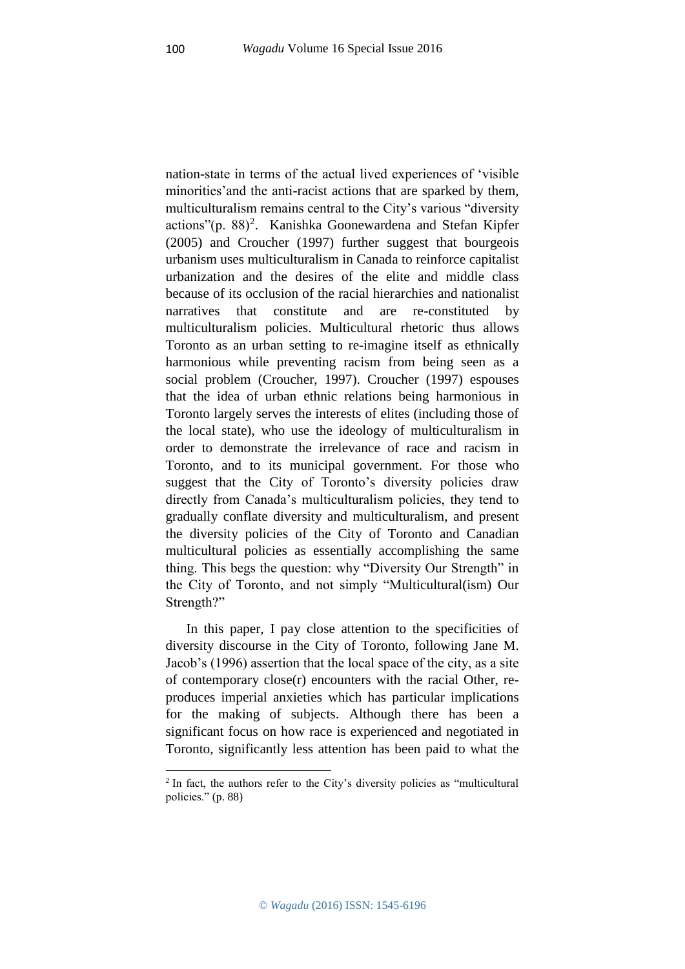nation-state in terms of the actual lived experiences of 'visible minorities'and the anti-racist actions that are sparked by them, multiculturalism remains central to the City's various "diversity actions"(p. 88)<sup>2</sup>. Kanishka Goonewardena and Stefan Kipfer (2005) and Croucher (1997) further suggest that bourgeois urbanism uses multiculturalism in Canada to reinforce capitalist urbanization and the desires of the elite and middle class because of its occlusion of the racial hierarchies and nationalist narratives that constitute and are re-constituted by multiculturalism policies. Multicultural rhetoric thus allows Toronto as an urban setting to re-imagine itself as ethnically harmonious while preventing racism from being seen as a social problem (Croucher, 1997). Croucher (1997) espouses that the idea of urban ethnic relations being harmonious in Toronto largely serves the interests of elites (including those of the local state), who use the ideology of multiculturalism in order to demonstrate the irrelevance of race and racism in Toronto, and to its municipal government. For those who suggest that the City of Toronto's diversity policies draw directly from Canada's multiculturalism policies, they tend to gradually conflate diversity and multiculturalism, and present the diversity policies of the City of Toronto and Canadian multicultural policies as essentially accomplishing the same thing. This begs the question: why "Diversity Our Strength" in the City of Toronto, and not simply "Multicultural(ism) Our Strength?"

In this paper, I pay close attention to the specificities of diversity discourse in the City of Toronto, following Jane M. Jacob's (1996) assertion that the local space of the city, as a site of contemporary close(r) encounters with the racial Other, reproduces imperial anxieties which has particular implications for the making of subjects. Although there has been a significant focus on how race is experienced and negotiated in Toronto, significantly less attention has been paid to what the

**.** 

<sup>&</sup>lt;sup>2</sup> In fact, the authors refer to the City's diversity policies as "multicultural" policies." (p. 88)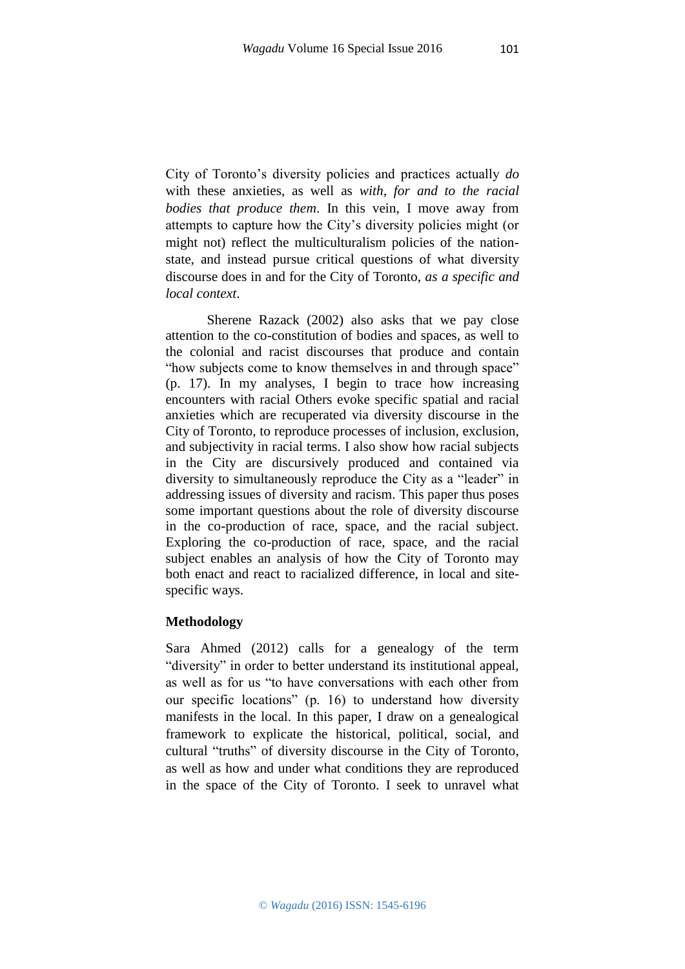City of Toronto's diversity policies and practices actually *do* with these anxieties, as well as *with, for and to the racial bodies that produce them*. In this vein, I move away from attempts to capture how the City's diversity policies might (or might not) reflect the multiculturalism policies of the nationstate, and instead pursue critical questions of what diversity discourse does in and for the City of Toronto, *as a specific and local context*.

Sherene Razack (2002) also asks that we pay close attention to the co-constitution of bodies and spaces, as well to the colonial and racist discourses that produce and contain "how subjects come to know themselves in and through space" (p. 17). In my analyses, I begin to trace how increasing encounters with racial Others evoke specific spatial and racial anxieties which are recuperated via diversity discourse in the City of Toronto, to reproduce processes of inclusion, exclusion, and subjectivity in racial terms. I also show how racial subjects in the City are discursively produced and contained via diversity to simultaneously reproduce the City as a "leader" in addressing issues of diversity and racism. This paper thus poses some important questions about the role of diversity discourse in the co-production of race, space, and the racial subject. Exploring the co-production of race, space, and the racial subject enables an analysis of how the City of Toronto may both enact and react to racialized difference, in local and sitespecific ways.

#### **Methodology**

Sara Ahmed (2012) calls for a genealogy of the term "diversity" in order to better understand its institutional appeal, as well as for us "to have conversations with each other from our specific locations" (p. 16) to understand how diversity manifests in the local. In this paper, I draw on a genealogical framework to explicate the historical, political, social, and cultural "truths" of diversity discourse in the City of Toronto, as well as how and under what conditions they are reproduced in the space of the City of Toronto. I seek to unravel what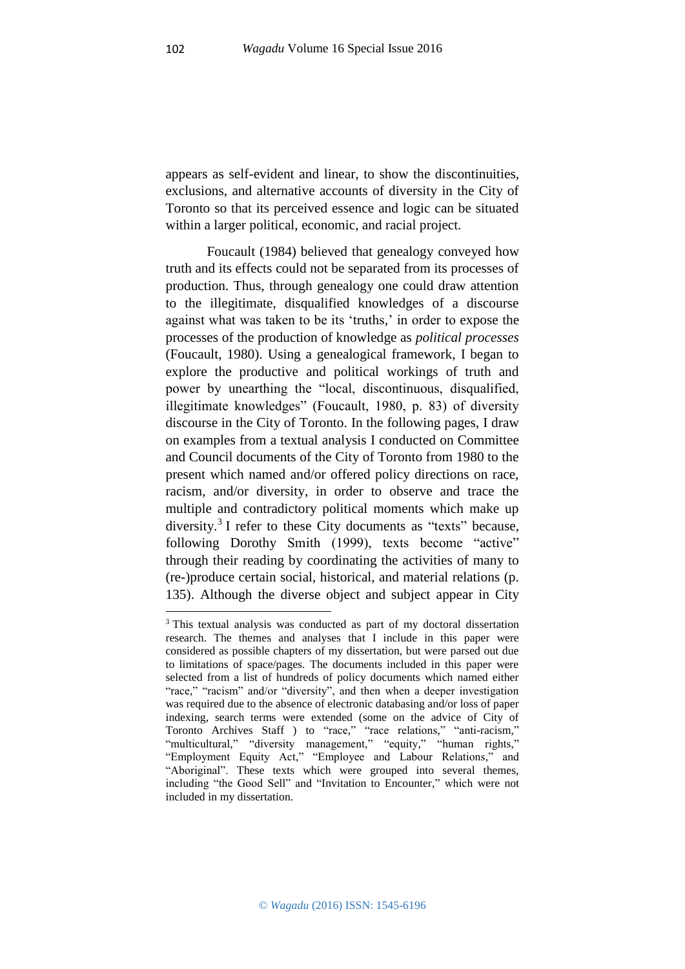appears as self-evident and linear, to show the discontinuities, exclusions, and alternative accounts of diversity in the City of Toronto so that its perceived essence and logic can be situated within a larger political, economic, and racial project.

Foucault (1984) believed that genealogy conveyed how truth and its effects could not be separated from its processes of production. Thus, through genealogy one could draw attention to the illegitimate, disqualified knowledges of a discourse against what was taken to be its 'truths,' in order to expose the processes of the production of knowledge as *political processes* (Foucault, 1980). Using a genealogical framework, I began to explore the productive and political workings of truth and power by unearthing the "local, discontinuous, disqualified, illegitimate knowledges" (Foucault, 1980, p. 83) of diversity discourse in the City of Toronto. In the following pages, I draw on examples from a textual analysis I conducted on Committee and Council documents of the City of Toronto from 1980 to the present which named and/or offered policy directions on race, racism, and/or diversity, in order to observe and trace the multiple and contradictory political moments which make up diversity.<sup>3</sup> I refer to these City documents as "texts" because, following Dorothy Smith (1999), texts become "active" through their reading by coordinating the activities of many to (re-)produce certain social, historical, and material relations (p. 135). Although the diverse object and subject appear in City

**.** 

<sup>3</sup> This textual analysis was conducted as part of my doctoral dissertation research. The themes and analyses that I include in this paper were considered as possible chapters of my dissertation, but were parsed out due to limitations of space/pages. The documents included in this paper were selected from a list of hundreds of policy documents which named either "race," "racism" and/or "diversity", and then when a deeper investigation was required due to the absence of electronic databasing and/or loss of paper indexing, search terms were extended (some on the advice of City of Toronto Archives Staff ) to "race," "race relations," "anti-racism," "multicultural," "diversity management," "equity," "human rights," "Employment Equity Act," "Employee and Labour Relations," and "Aboriginal". These texts which were grouped into several themes, including "the Good Sell" and "Invitation to Encounter," which were not included in my dissertation.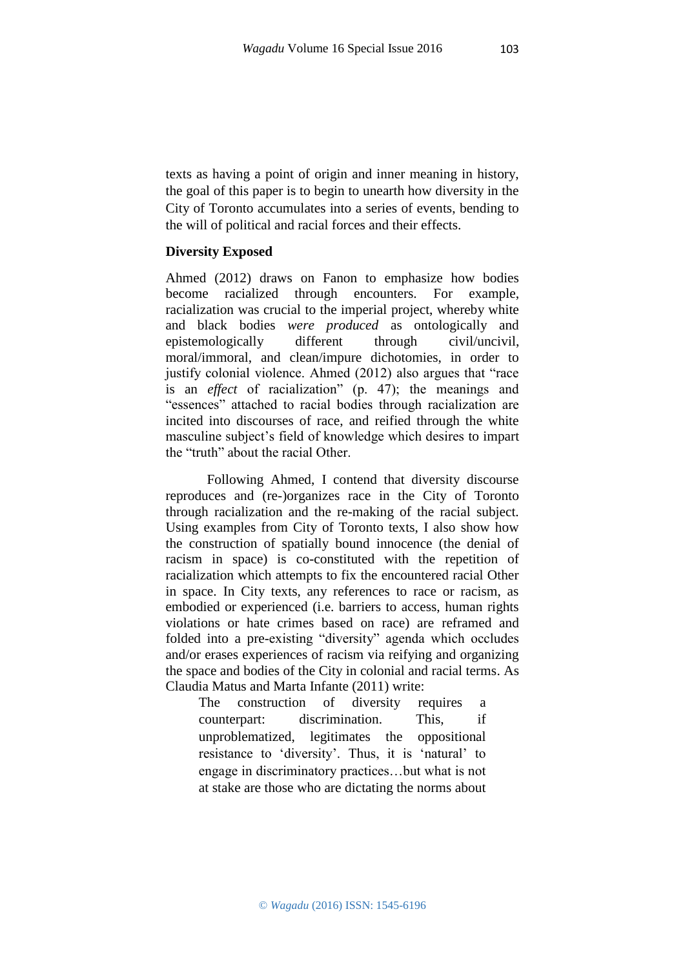texts as having a point of origin and inner meaning in history, the goal of this paper is to begin to unearth how diversity in the City of Toronto accumulates into a series of events, bending to the will of political and racial forces and their effects.

## **Diversity Exposed**

Ahmed (2012) draws on Fanon to emphasize how bodies become racialized through encounters. For example, racialization was crucial to the imperial project, whereby white and black bodies *were produced* as ontologically and epistemologically different through civil/uncivil, moral/immoral, and clean/impure dichotomies, in order to justify colonial violence. Ahmed (2012) also argues that "race is an *effect* of racialization" (p. 47); the meanings and "essences" attached to racial bodies through racialization are incited into discourses of race, and reified through the white masculine subject's field of knowledge which desires to impart the "truth" about the racial Other.

Following Ahmed, I contend that diversity discourse reproduces and (re-)organizes race in the City of Toronto through racialization and the re-making of the racial subject. Using examples from City of Toronto texts, I also show how the construction of spatially bound innocence (the denial of racism in space) is co-constituted with the repetition of racialization which attempts to fix the encountered racial Other in space. In City texts, any references to race or racism, as embodied or experienced (i.e. barriers to access, human rights violations or hate crimes based on race) are reframed and folded into a pre-existing "diversity" agenda which occludes and/or erases experiences of racism via reifying and organizing the space and bodies of the City in colonial and racial terms. As Claudia Matus and Marta Infante (2011) write:

The construction of diversity requires a counterpart: discrimination. This, if unproblematized, legitimates the oppositional resistance to 'diversity'. Thus, it is 'natural' to engage in discriminatory practices…but what is not at stake are those who are dictating the norms about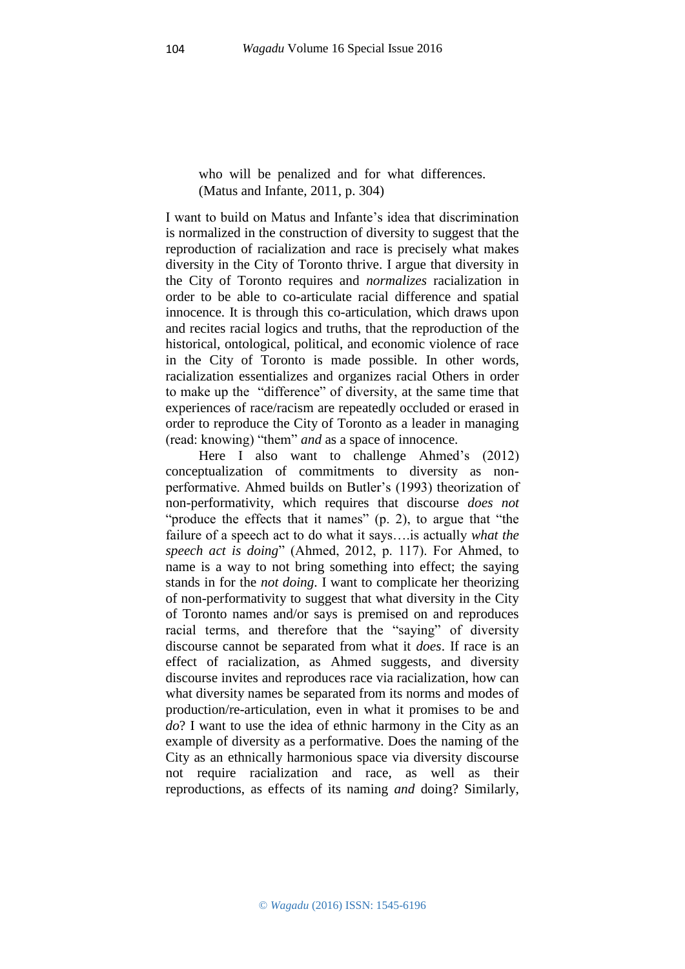who will be penalized and for what differences. (Matus and Infante, 2011, p. 304)

I want to build on Matus and Infante's idea that discrimination is normalized in the construction of diversity to suggest that the reproduction of racialization and race is precisely what makes diversity in the City of Toronto thrive. I argue that diversity in the City of Toronto requires and *normalizes* racialization in order to be able to co-articulate racial difference and spatial innocence. It is through this co-articulation, which draws upon and recites racial logics and truths, that the reproduction of the historical, ontological, political, and economic violence of race in the City of Toronto is made possible. In other words, racialization essentializes and organizes racial Others in order to make up the "difference" of diversity, at the same time that experiences of race/racism are repeatedly occluded or erased in order to reproduce the City of Toronto as a leader in managing (read: knowing) "them" *and* as a space of innocence.

Here I also want to challenge Ahmed's (2012) conceptualization of commitments to diversity as nonperformative. Ahmed builds on Butler's (1993) theorization of non-performativity, which requires that discourse *does not* "produce the effects that it names" (p. 2), to argue that "the failure of a speech act to do what it says….is actually *what the speech act is doing*" (Ahmed, 2012, p. 117). For Ahmed, to name is a way to not bring something into effect; the saying stands in for the *not doing*. I want to complicate her theorizing of non-performativity to suggest that what diversity in the City of Toronto names and/or says is premised on and reproduces racial terms, and therefore that the "saying" of diversity discourse cannot be separated from what it *does*. If race is an effect of racialization, as Ahmed suggests, and diversity discourse invites and reproduces race via racialization, how can what diversity names be separated from its norms and modes of production/re-articulation, even in what it promises to be and *do*? I want to use the idea of ethnic harmony in the City as an example of diversity as a performative. Does the naming of the City as an ethnically harmonious space via diversity discourse not require racialization and race, as well as their reproductions, as effects of its naming *and* doing? Similarly,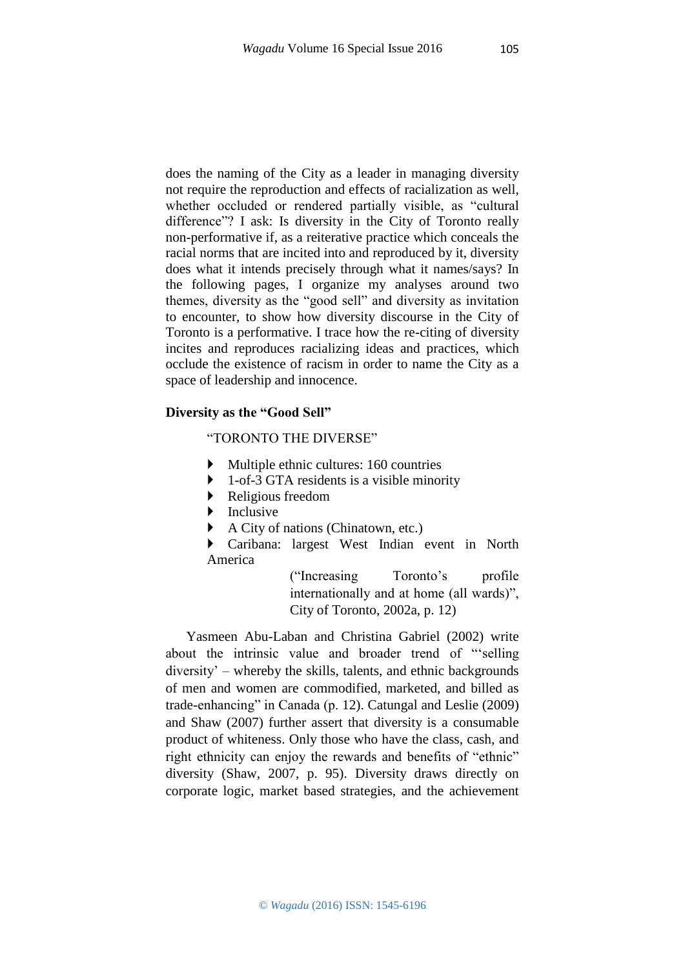does the naming of the City as a leader in managing diversity not require the reproduction and effects of racialization as well, whether occluded or rendered partially visible, as "cultural difference"? I ask: Is diversity in the City of Toronto really non-performative if, as a reiterative practice which conceals the racial norms that are incited into and reproduced by it, diversity does what it intends precisely through what it names/says? In the following pages, I organize my analyses around two themes, diversity as the "good sell" and diversity as invitation to encounter, to show how diversity discourse in the City of Toronto is a performative. I trace how the re-citing of diversity incites and reproduces racializing ideas and practices, which occlude the existence of racism in order to name the City as a space of leadership and innocence.

## **Diversity as the "Good Sell"**

## "TORONTO THE DIVERSE"

- Multiple ethnic cultures: 160 countries
- 1-of-3 GTA residents is a visible minority
- Religious freedom
- $\blacktriangleright$  Inclusive
- A City of nations (Chinatown, etc.)

 Caribana: largest West Indian event in North America

> ("Increasing Toronto's profile internationally and at home (all wards)", City of Toronto, 2002a, p. 12)

Yasmeen Abu-Laban and Christina Gabriel (2002) write about the intrinsic value and broader trend of "'selling diversity' – whereby the skills, talents, and ethnic backgrounds of men and women are commodified, marketed, and billed as trade-enhancing" in Canada (p. 12). Catungal and Leslie (2009) and Shaw (2007) further assert that diversity is a consumable product of whiteness. Only those who have the class, cash, and right ethnicity can enjoy the rewards and benefits of "ethnic" diversity (Shaw, 2007, p. 95). Diversity draws directly on corporate logic, market based strategies, and the achievement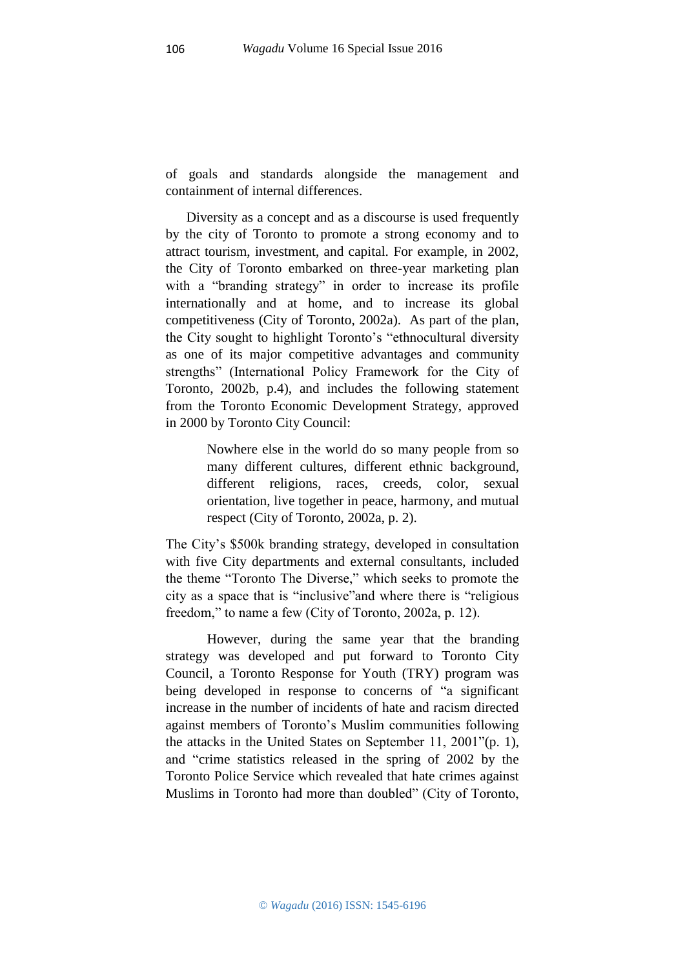of goals and standards alongside the management and containment of internal differences.

Diversity as a concept and as a discourse is used frequently by the city of Toronto to promote a strong economy and to attract tourism, investment, and capital. For example, in 2002, the City of Toronto embarked on three-year marketing plan with a "branding strategy" in order to increase its profile internationally and at home, and to increase its global competitiveness (City of Toronto, 2002a). As part of the plan, the City sought to highlight Toronto's "ethnocultural diversity as one of its major competitive advantages and community strengths" (International Policy Framework for the City of Toronto, 2002b, p.4), and includes the following statement from the Toronto Economic Development Strategy, approved in 2000 by Toronto City Council:

> Nowhere else in the world do so many people from so many different cultures, different ethnic background, different religions, races, creeds, color, sexual orientation, live together in peace, harmony, and mutual respect (City of Toronto, 2002a, p. 2).

The City's \$500k branding strategy, developed in consultation with five City departments and external consultants, included the theme "Toronto The Diverse," which seeks to promote the city as a space that is "inclusive"and where there is "religious freedom," to name a few (City of Toronto, 2002a, p. 12).

However, during the same year that the branding strategy was developed and put forward to Toronto City Council, a Toronto Response for Youth (TRY) program was being developed in response to concerns of "a significant increase in the number of incidents of hate and racism directed against members of Toronto's Muslim communities following the attacks in the United States on September 11, 2001"(p. 1), and "crime statistics released in the spring of 2002 by the Toronto Police Service which revealed that hate crimes against Muslims in Toronto had more than doubled" (City of Toronto,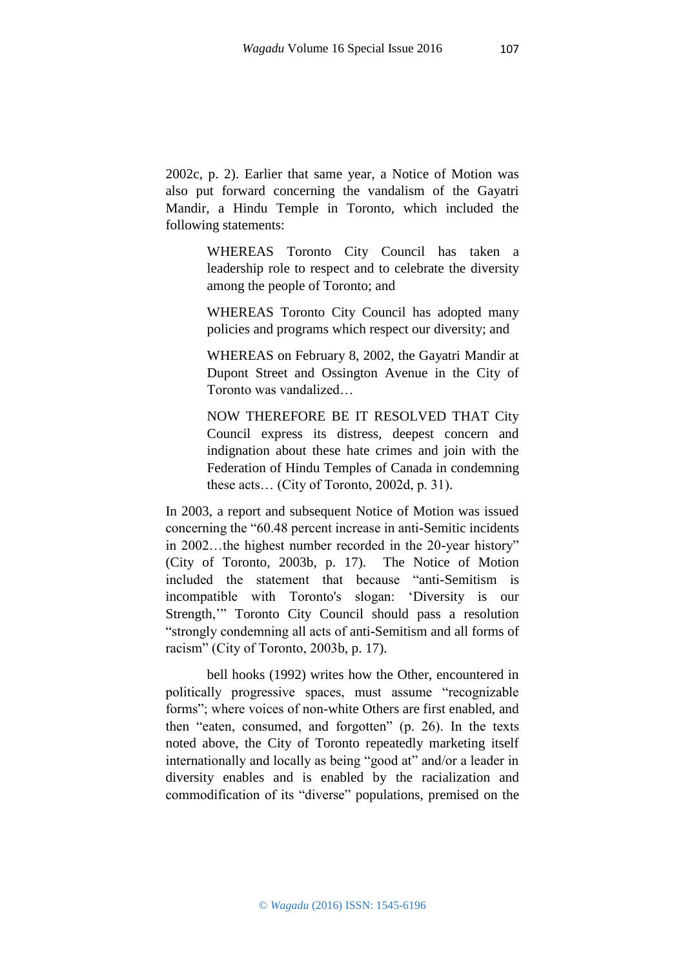2002c, p. 2). Earlier that same year, a Notice of Motion was also put forward concerning the vandalism of the Gayatri Mandir, a Hindu Temple in Toronto, which included the

following statements:

WHEREAS Toronto City Council has taken a leadership role to respect and to celebrate the diversity among the people of Toronto; and

WHEREAS Toronto City Council has adopted many policies and programs which respect our diversity; and

WHEREAS on February 8, 2002, the Gayatri Mandir at Dupont Street and Ossington Avenue in the City of Toronto was vandalized…

NOW THEREFORE BE IT RESOLVED THAT City Council express its distress, deepest concern and indignation about these hate crimes and join with the Federation of Hindu Temples of Canada in condemning these acts… (City of Toronto, 2002d, p. 31).

In 2003, a report and subsequent Notice of Motion was issued concerning the "60.48 percent increase in anti-Semitic incidents in 2002…the highest number recorded in the 20-year history" (City of Toronto, 2003b, p. 17). The Notice of Motion included the statement that because "anti-Semitism is incompatible with Toronto's slogan: 'Diversity is our Strength,'" Toronto City Council should pass a resolution "strongly condemning all acts of anti-Semitism and all forms of racism" (City of Toronto, 2003b, p. 17).

bell hooks (1992) writes how the Other, encountered in politically progressive spaces, must assume "recognizable forms"; where voices of non-white Others are first enabled, and then "eaten, consumed, and forgotten" (p. 26). In the texts noted above, the City of Toronto repeatedly marketing itself internationally and locally as being "good at" and/or a leader in diversity enables and is enabled by the racialization and commodification of its "diverse" populations, premised on the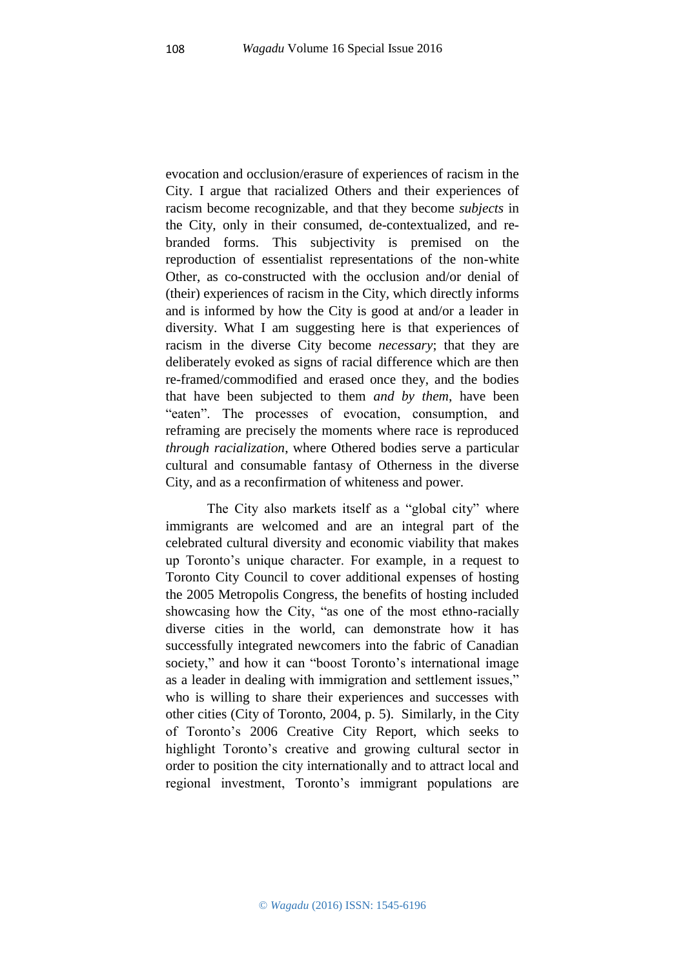evocation and occlusion/erasure of experiences of racism in the City. I argue that racialized Others and their experiences of racism become recognizable, and that they become *subjects* in the City, only in their consumed, de-contextualized, and rebranded forms. This subjectivity is premised on the reproduction of essentialist representations of the non-white Other, as co-constructed with the occlusion and/or denial of (their) experiences of racism in the City, which directly informs and is informed by how the City is good at and/or a leader in diversity. What I am suggesting here is that experiences of racism in the diverse City become *necessary*; that they are deliberately evoked as signs of racial difference which are then re-framed/commodified and erased once they, and the bodies that have been subjected to them *and by them*, have been "eaten". The processes of evocation, consumption, and reframing are precisely the moments where race is reproduced *through racialization*, where Othered bodies serve a particular cultural and consumable fantasy of Otherness in the diverse City, and as a reconfirmation of whiteness and power.

The City also markets itself as a "global city" where immigrants are welcomed and are an integral part of the celebrated cultural diversity and economic viability that makes up Toronto's unique character. For example, in a request to Toronto City Council to cover additional expenses of hosting the 2005 Metropolis Congress, the benefits of hosting included showcasing how the City, "as one of the most ethno-racially diverse cities in the world, can demonstrate how it has successfully integrated newcomers into the fabric of Canadian society," and how it can "boost Toronto's international image as a leader in dealing with immigration and settlement issues," who is willing to share their experiences and successes with other cities (City of Toronto, 2004, p. 5). Similarly, in the City of Toronto's 2006 Creative City Report, which seeks to highlight Toronto's creative and growing cultural sector in order to position the city internationally and to attract local and regional investment, Toronto's immigrant populations are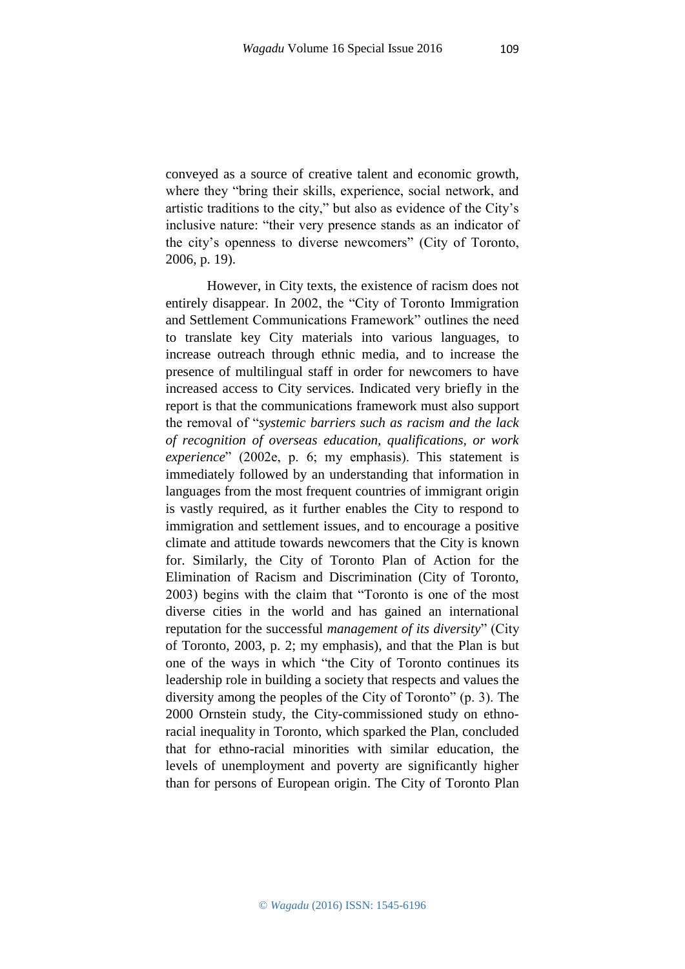conveyed as a source of creative talent and economic growth, where they "bring their skills, experience, social network, and artistic traditions to the city," but also as evidence of the City's inclusive nature: "their very presence stands as an indicator of the city's openness to diverse newcomers" (City of Toronto, 2006, p. 19).

However, in City texts, the existence of racism does not entirely disappear. In 2002, the "City of Toronto Immigration and Settlement Communications Framework" outlines the need to translate key City materials into various languages, to increase outreach through ethnic media, and to increase the presence of multilingual staff in order for newcomers to have increased access to City services. Indicated very briefly in the report is that the communications framework must also support the removal of "*systemic barriers such as racism and the lack of recognition of overseas education, qualifications, or work experience*" (2002e, p. 6; my emphasis). This statement is immediately followed by an understanding that information in languages from the most frequent countries of immigrant origin is vastly required, as it further enables the City to respond to immigration and settlement issues, and to encourage a positive climate and attitude towards newcomers that the City is known for. Similarly, the City of Toronto Plan of Action for the Elimination of Racism and Discrimination (City of Toronto, 2003) begins with the claim that "Toronto is one of the most diverse cities in the world and has gained an international reputation for the successful *management of its diversity*" (City of Toronto, 2003, p. 2; my emphasis), and that the Plan is but one of the ways in which "the City of Toronto continues its leadership role in building a society that respects and values the diversity among the peoples of the City of Toronto" (p. 3). The 2000 Ornstein study, the City-commissioned study on ethnoracial inequality in Toronto, which sparked the Plan, concluded that for ethno-racial minorities with similar education, the levels of unemployment and poverty are significantly higher than for persons of European origin. The City of Toronto Plan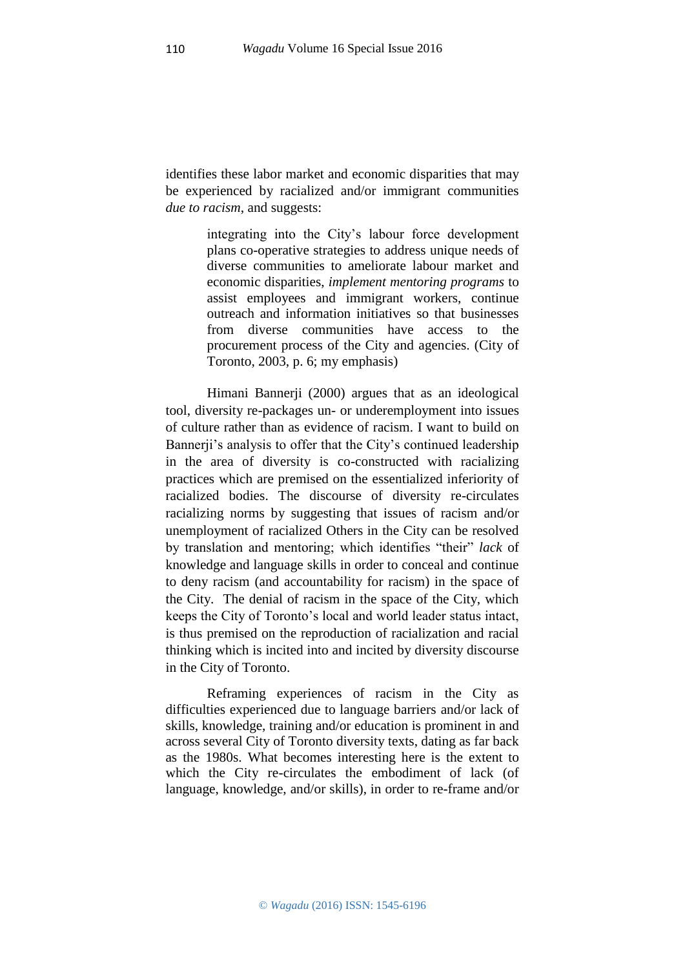identifies these labor market and economic disparities that may be experienced by racialized and/or immigrant communities *due to racism*, and suggests:

> integrating into the City's labour force development plans co-operative strategies to address unique needs of diverse communities to ameliorate labour market and economic disparities, *implement mentoring programs* to assist employees and immigrant workers, continue outreach and information initiatives so that businesses from diverse communities have access to the procurement process of the City and agencies. (City of Toronto, 2003, p. 6; my emphasis)

Himani Bannerji (2000) argues that as an ideological tool, diversity re-packages un- or underemployment into issues of culture rather than as evidence of racism. I want to build on Bannerji's analysis to offer that the City's continued leadership in the area of diversity is co-constructed with racializing practices which are premised on the essentialized inferiority of racialized bodies. The discourse of diversity re-circulates racializing norms by suggesting that issues of racism and/or unemployment of racialized Others in the City can be resolved by translation and mentoring; which identifies "their" *lack* of knowledge and language skills in order to conceal and continue to deny racism (and accountability for racism) in the space of the City. The denial of racism in the space of the City, which keeps the City of Toronto's local and world leader status intact, is thus premised on the reproduction of racialization and racial thinking which is incited into and incited by diversity discourse in the City of Toronto.

Reframing experiences of racism in the City as difficulties experienced due to language barriers and/or lack of skills, knowledge, training and/or education is prominent in and across several City of Toronto diversity texts, dating as far back as the 1980s. What becomes interesting here is the extent to which the City re-circulates the embodiment of lack (of language, knowledge, and/or skills), in order to re-frame and/or

110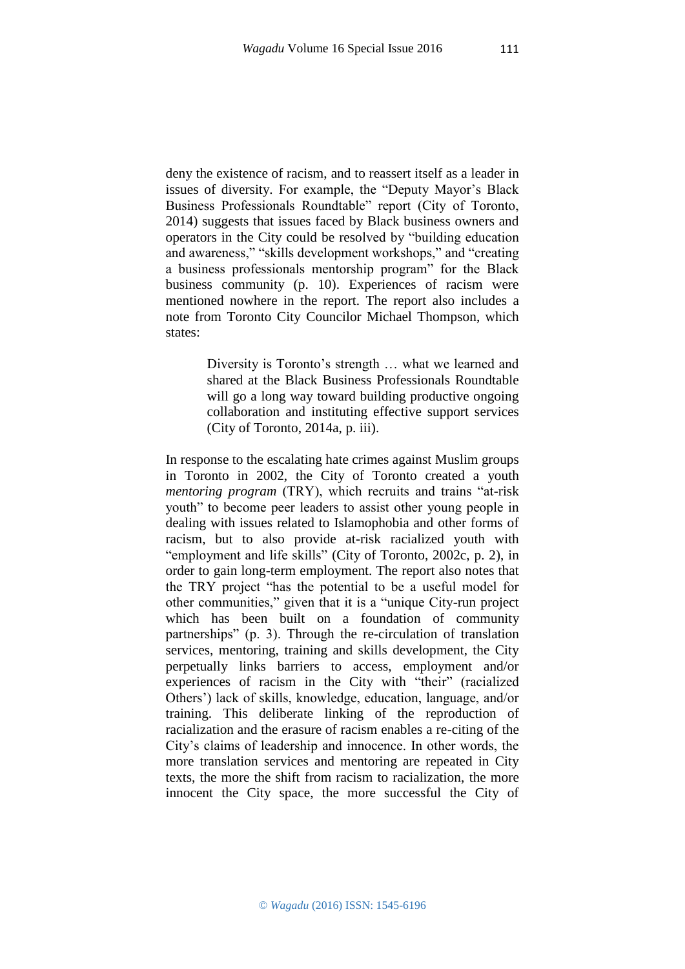deny the existence of racism, and to reassert itself as a leader in issues of diversity. For example, the "Deputy Mayor's Black Business Professionals Roundtable" report (City of Toronto, 2014) suggests that issues faced by Black business owners and operators in the City could be resolved by "building education and awareness," "skills development workshops," and "creating a business professionals mentorship program" for the Black business community (p. 10). Experiences of racism were mentioned nowhere in the report. The report also includes a note from Toronto City Councilor Michael Thompson, which states:

> Diversity is Toronto's strength … what we learned and shared at the Black Business Professionals Roundtable will go a long way toward building productive ongoing collaboration and instituting effective support services (City of Toronto, 2014a, p. iii).

In response to the escalating hate crimes against Muslim groups in Toronto in 2002, the City of Toronto created a youth *mentoring program* (TRY), which recruits and trains "at-risk youth" to become peer leaders to assist other young people in dealing with issues related to Islamophobia and other forms of racism, but to also provide at-risk racialized youth with "employment and life skills" (City of Toronto, 2002c, p. 2), in order to gain long-term employment. The report also notes that the TRY project "has the potential to be a useful model for other communities," given that it is a "unique City-run project which has been built on a foundation of community partnerships" (p. 3). Through the re-circulation of translation services, mentoring, training and skills development, the City perpetually links barriers to access, employment and/or experiences of racism in the City with "their" (racialized Others') lack of skills, knowledge, education, language, and/or training. This deliberate linking of the reproduction of racialization and the erasure of racism enables a re-citing of the City's claims of leadership and innocence. In other words, the more translation services and mentoring are repeated in City texts, the more the shift from racism to racialization, the more innocent the City space, the more successful the City of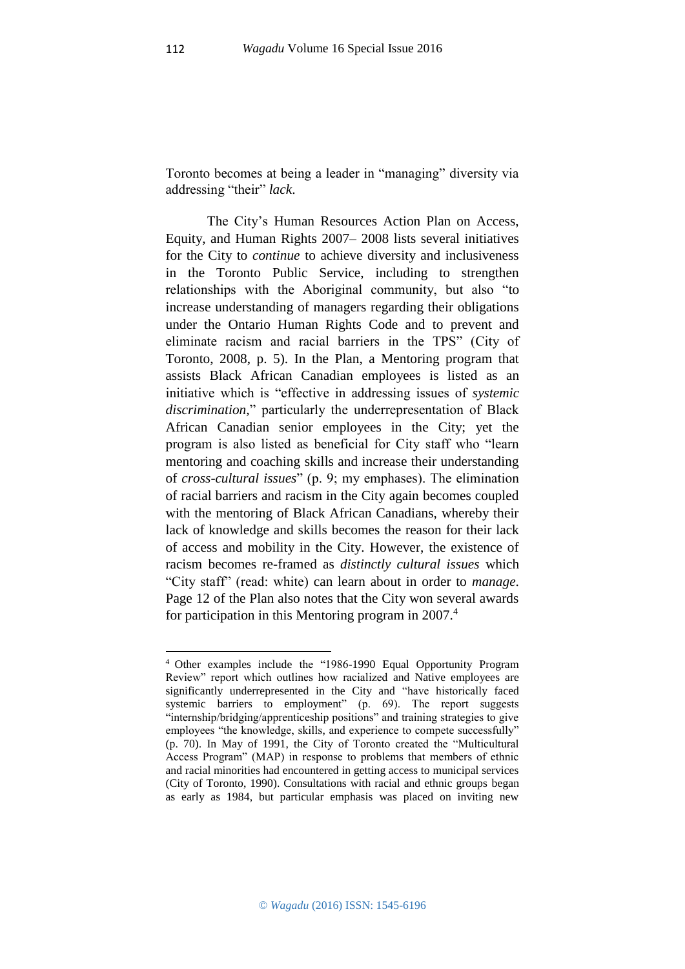Toronto becomes at being a leader in "managing" diversity via addressing "their" *lack*.

The City's Human Resources Action Plan on Access, Equity, and Human Rights 2007– 2008 lists several initiatives for the City to *continue* to achieve diversity and inclusiveness in the Toronto Public Service, including to strengthen relationships with the Aboriginal community, but also "to increase understanding of managers regarding their obligations under the Ontario Human Rights Code and to prevent and eliminate racism and racial barriers in the TPS" (City of Toronto, 2008, p. 5). In the Plan, a Mentoring program that assists Black African Canadian employees is listed as an initiative which is "effective in addressing issues of *systemic discrimination,*" particularly the underrepresentation of Black African Canadian senior employees in the City; yet the program is also listed as beneficial for City staff who "learn mentoring and coaching skills and increase their understanding of *cross-cultural issues*" (p. 9; my emphases). The elimination of racial barriers and racism in the City again becomes coupled with the mentoring of Black African Canadians, whereby their lack of knowledge and skills becomes the reason for their lack of access and mobility in the City. However, the existence of racism becomes re-framed as *distinctly cultural issues* which "City staff" (read: white) can learn about in order to *manage*. Page 12 of the Plan also notes that the City won several awards for participation in this Mentoring program in 2007.<sup>4</sup>

**.** 

<sup>4</sup> Other examples include the "1986-1990 Equal Opportunity Program Review" report which outlines how racialized and Native employees are significantly underrepresented in the City and "have historically faced systemic barriers to employment" (p. 69). The report suggests "internship/bridging/apprenticeship positions" and training strategies to give employees "the knowledge, skills, and experience to compete successfully" (p. 70). In May of 1991, the City of Toronto created the "Multicultural Access Program" (MAP) in response to problems that members of ethnic and racial minorities had encountered in getting access to municipal services (City of Toronto, 1990). Consultations with racial and ethnic groups began as early as 1984, but particular emphasis was placed on inviting new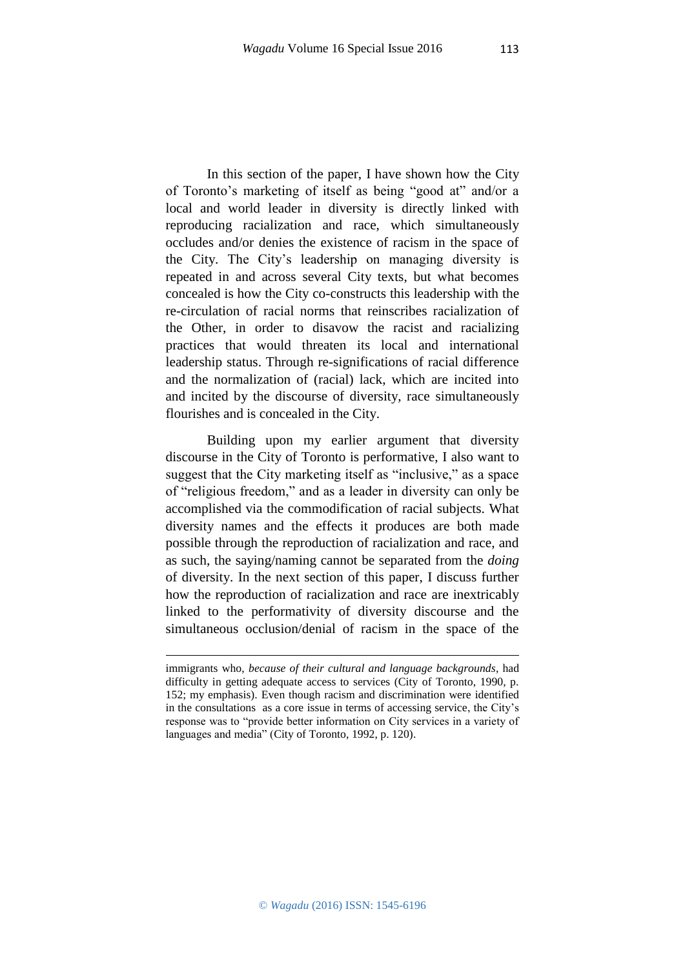113

In this section of the paper, I have shown how the City of Toronto's marketing of itself as being "good at" and/or a local and world leader in diversity is directly linked with reproducing racialization and race, which simultaneously occludes and/or denies the existence of racism in the space of the City. The City's leadership on managing diversity is repeated in and across several City texts, but what becomes concealed is how the City co-constructs this leadership with the re-circulation of racial norms that reinscribes racialization of the Other, in order to disavow the racist and racializing practices that would threaten its local and international leadership status. Through re-significations of racial difference and the normalization of (racial) lack, which are incited into and incited by the discourse of diversity, race simultaneously flourishes and is concealed in the City.

Building upon my earlier argument that diversity discourse in the City of Toronto is performative, I also want to suggest that the City marketing itself as "inclusive," as a space of "religious freedom," and as a leader in diversity can only be accomplished via the commodification of racial subjects. What diversity names and the effects it produces are both made possible through the reproduction of racialization and race, and as such, the saying/naming cannot be separated from the *doing* of diversity. In the next section of this paper, I discuss further how the reproduction of racialization and race are inextricably linked to the performativity of diversity discourse and the simultaneous occlusion/denial of racism in the space of the

1

immigrants who, *because of their cultural and language backgrounds*, had difficulty in getting adequate access to services (City of Toronto, 1990, p. 152; my emphasis). Even though racism and discrimination were identified in the consultations as a core issue in terms of accessing service, the City's response was to "provide better information on City services in a variety of languages and media" (City of Toronto, 1992, p. 120).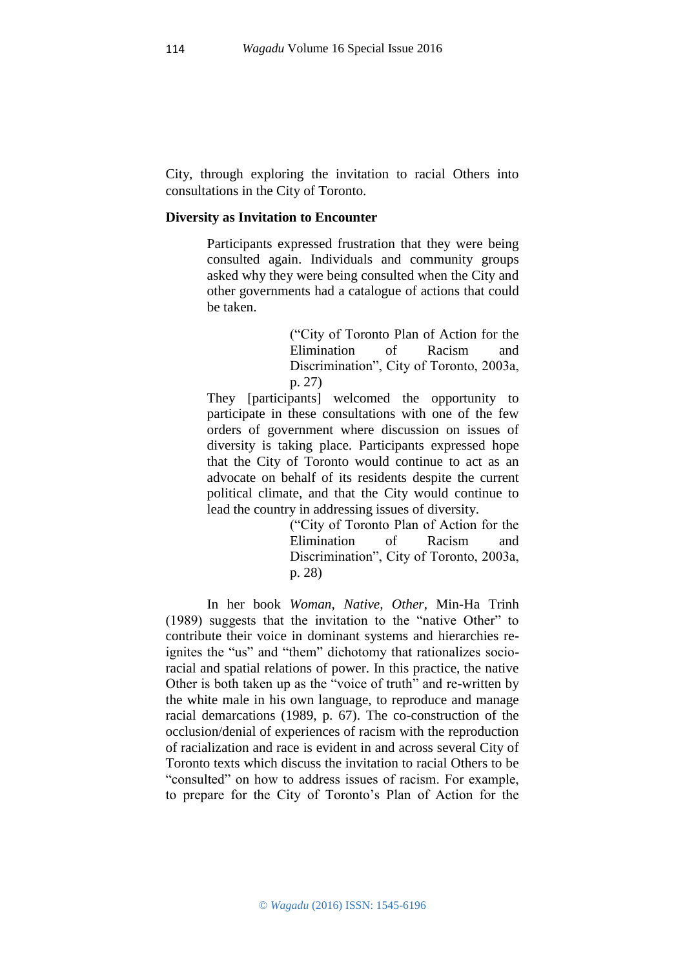City, through exploring the invitation to racial Others into consultations in the City of Toronto.

#### **Diversity as Invitation to Encounter**

Participants expressed frustration that they were being consulted again. Individuals and community groups asked why they were being consulted when the City and other governments had a catalogue of actions that could be taken.

> ("City of Toronto Plan of Action for the Elimination of Racism and Discrimination", City of Toronto, 2003a, p. 27)

They [participants] welcomed the opportunity to participate in these consultations with one of the few orders of government where discussion on issues of diversity is taking place. Participants expressed hope that the City of Toronto would continue to act as an advocate on behalf of its residents despite the current political climate, and that the City would continue to lead the country in addressing issues of diversity.

> ("City of Toronto Plan of Action for the Elimination of Racism and Discrimination", City of Toronto, 2003a, p. 28)

In her book *Woman, Native, Other*, Min-Ha Trinh (1989) suggests that the invitation to the "native Other" to contribute their voice in dominant systems and hierarchies reignites the "us" and "them" dichotomy that rationalizes socioracial and spatial relations of power. In this practice, the native Other is both taken up as the "voice of truth" and re-written by the white male in his own language, to reproduce and manage racial demarcations (1989, p. 67). The co-construction of the occlusion/denial of experiences of racism with the reproduction of racialization and race is evident in and across several City of Toronto texts which discuss the invitation to racial Others to be "consulted" on how to address issues of racism. For example, to prepare for the City of Toronto's Plan of Action for the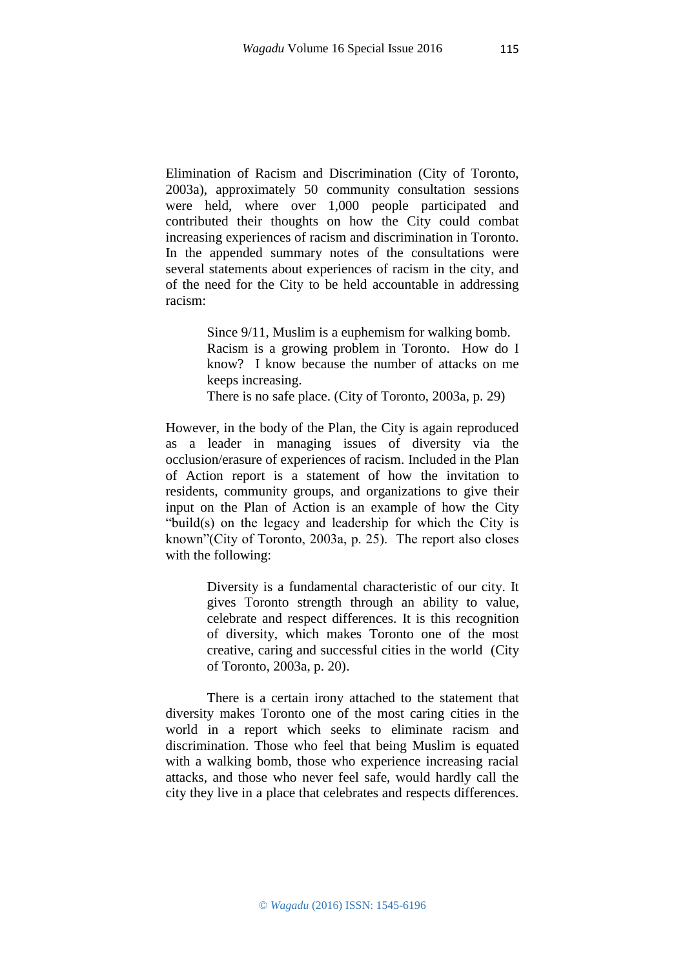Elimination of Racism and Discrimination (City of Toronto, 2003a), approximately 50 community consultation sessions were held, where over 1,000 people participated and contributed their thoughts on how the City could combat increasing experiences of racism and discrimination in Toronto. In the appended summary notes of the consultations were several statements about experiences of racism in the city, and of the need for the City to be held accountable in addressing racism:

> Since 9/11, Muslim is a euphemism for walking bomb. Racism is a growing problem in Toronto. How do I know? I know because the number of attacks on me keeps increasing.

There is no safe place. (City of Toronto, 2003a, p. 29)

However, in the body of the Plan, the City is again reproduced as a leader in managing issues of diversity via the occlusion/erasure of experiences of racism. Included in the Plan of Action report is a statement of how the invitation to residents, community groups, and organizations to give their input on the Plan of Action is an example of how the City "build(s) on the legacy and leadership for which the City is known"(City of Toronto, 2003a, p. 25). The report also closes with the following:

> Diversity is a fundamental characteristic of our city. It gives Toronto strength through an ability to value, celebrate and respect differences. It is this recognition of diversity, which makes Toronto one of the most creative, caring and successful cities in the world (City of Toronto, 2003a, p. 20).

There is a certain irony attached to the statement that diversity makes Toronto one of the most caring cities in the world in a report which seeks to eliminate racism and discrimination. Those who feel that being Muslim is equated with a walking bomb, those who experience increasing racial attacks, and those who never feel safe, would hardly call the city they live in a place that celebrates and respects differences.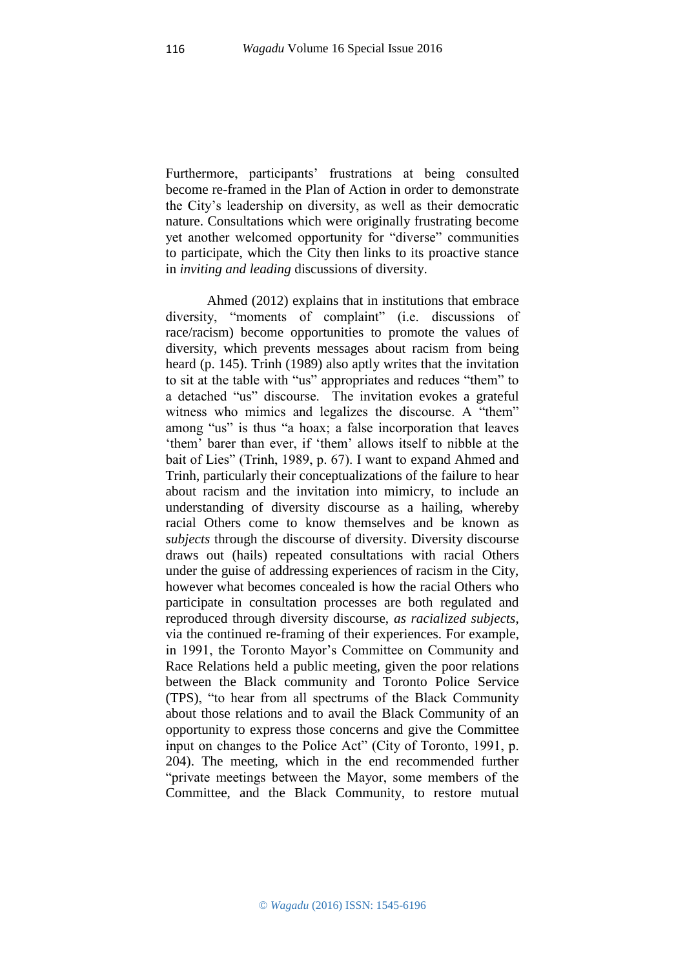Furthermore, participants' frustrations at being consulted become re-framed in the Plan of Action in order to demonstrate the City's leadership on diversity, as well as their democratic nature. Consultations which were originally frustrating become yet another welcomed opportunity for "diverse" communities to participate, which the City then links to its proactive stance in *inviting and leading* discussions of diversity.

Ahmed (2012) explains that in institutions that embrace diversity, "moments of complaint" (i.e. discussions of race/racism) become opportunities to promote the values of diversity, which prevents messages about racism from being heard (p. 145). Trinh (1989) also aptly writes that the invitation to sit at the table with "us" appropriates and reduces "them" to a detached "us" discourse. The invitation evokes a grateful witness who mimics and legalizes the discourse. A "them" among "us" is thus "a hoax; a false incorporation that leaves 'them' barer than ever, if 'them' allows itself to nibble at the bait of Lies" (Trinh, 1989, p. 67). I want to expand Ahmed and Trinh, particularly their conceptualizations of the failure to hear about racism and the invitation into mimicry, to include an understanding of diversity discourse as a hailing, whereby racial Others come to know themselves and be known as *subjects* through the discourse of diversity. Diversity discourse draws out (hails) repeated consultations with racial Others under the guise of addressing experiences of racism in the City, however what becomes concealed is how the racial Others who participate in consultation processes are both regulated and reproduced through diversity discourse, *as racialized subjects*, via the continued re-framing of their experiences. For example, in 1991, the Toronto Mayor's Committee on Community and Race Relations held a public meeting, given the poor relations between the Black community and Toronto Police Service (TPS), "to hear from all spectrums of the Black Community about those relations and to avail the Black Community of an opportunity to express those concerns and give the Committee input on changes to the Police Act" (City of Toronto, 1991, p. 204). The meeting, which in the end recommended further "private meetings between the Mayor, some members of the Committee, and the Black Community, to restore mutual

116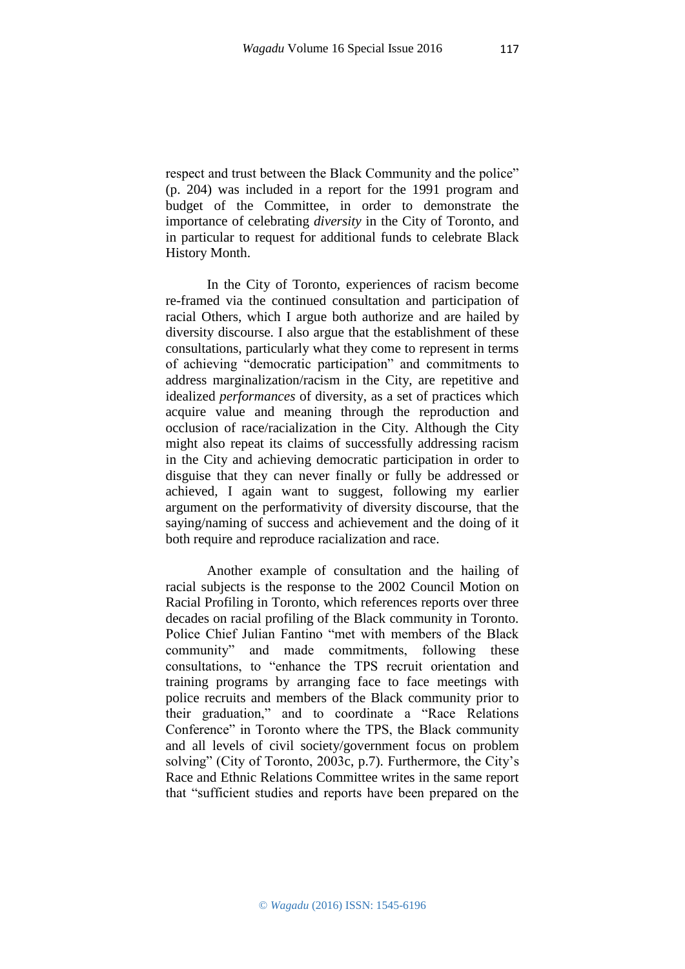respect and trust between the Black Community and the police" (p. 204) was included in a report for the 1991 program and budget of the Committee, in order to demonstrate the importance of celebrating *diversity* in the City of Toronto, and in particular to request for additional funds to celebrate Black History Month.

In the City of Toronto, experiences of racism become re-framed via the continued consultation and participation of racial Others, which I argue both authorize and are hailed by diversity discourse. I also argue that the establishment of these consultations, particularly what they come to represent in terms of achieving "democratic participation" and commitments to address marginalization/racism in the City, are repetitive and idealized *performances* of diversity, as a set of practices which acquire value and meaning through the reproduction and occlusion of race/racialization in the City. Although the City might also repeat its claims of successfully addressing racism in the City and achieving democratic participation in order to disguise that they can never finally or fully be addressed or achieved, I again want to suggest, following my earlier argument on the performativity of diversity discourse, that the saying/naming of success and achievement and the doing of it both require and reproduce racialization and race.

Another example of consultation and the hailing of racial subjects is the response to the 2002 Council Motion on Racial Profiling in Toronto, which references reports over three decades on racial profiling of the Black community in Toronto. Police Chief Julian Fantino "met with members of the Black community" and made commitments, following these consultations, to "enhance the TPS recruit orientation and training programs by arranging face to face meetings with police recruits and members of the Black community prior to their graduation," and to coordinate a "Race Relations Conference" in Toronto where the TPS, the Black community and all levels of civil society/government focus on problem solving" (City of Toronto, 2003c, p.7). Furthermore, the City's Race and Ethnic Relations Committee writes in the same report that "sufficient studies and reports have been prepared on the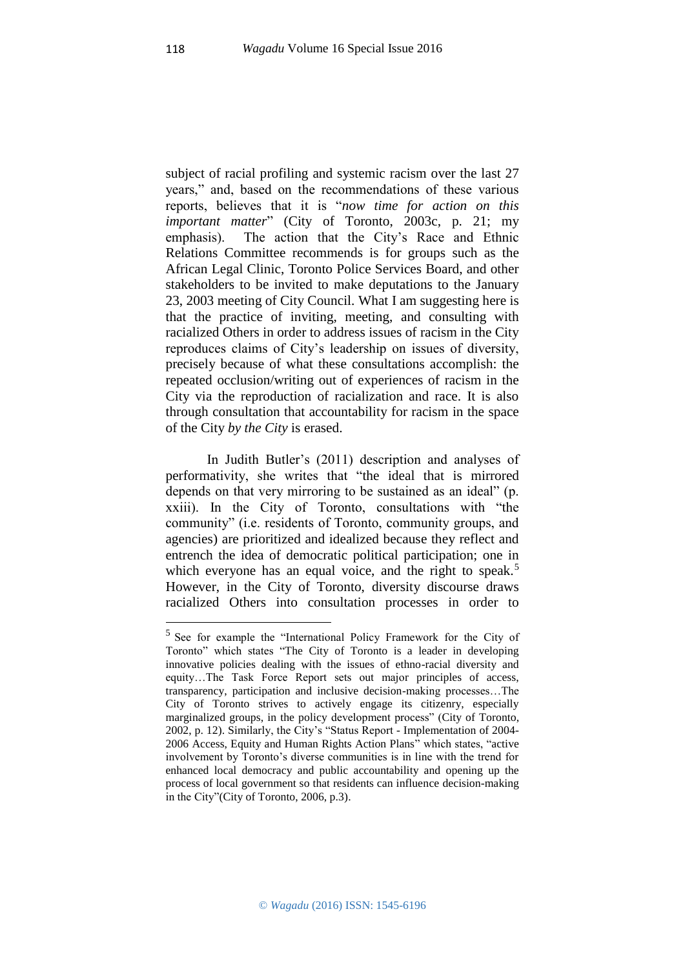subject of racial profiling and systemic racism over the last 27 years," and, based on the recommendations of these various reports, believes that it is "*now time for action on this important matter*" (City of Toronto, 2003c, p. 21; my emphasis). The action that the City's Race and Ethnic Relations Committee recommends is for groups such as the African Legal Clinic, Toronto Police Services Board, and other stakeholders to be invited to make deputations to the January 23, 2003 meeting of City Council. What I am suggesting here is that the practice of inviting, meeting, and consulting with racialized Others in order to address issues of racism in the City reproduces claims of City's leadership on issues of diversity, precisely because of what these consultations accomplish: the repeated occlusion/writing out of experiences of racism in the City via the reproduction of racialization and race. It is also through consultation that accountability for racism in the space of the City *by the City* is erased.

In Judith Butler's (2011) description and analyses of performativity, she writes that "the ideal that is mirrored depends on that very mirroring to be sustained as an ideal" (p. xxiii). In the City of Toronto, consultations with "the community" (i.e. residents of Toronto, community groups, and agencies) are prioritized and idealized because they reflect and entrench the idea of democratic political participation; one in which everyone has an equal voice, and the right to speak.<sup>5</sup> However, in the City of Toronto, diversity discourse draws racialized Others into consultation processes in order to

1

<sup>&</sup>lt;sup>5</sup> See for example the "International Policy Framework for the City of Toronto" which states "The City of Toronto is a leader in developing innovative policies dealing with the issues of ethno-racial diversity and equity…The Task Force Report sets out major principles of access, transparency, participation and inclusive decision-making processes…The City of Toronto strives to actively engage its citizenry, especially marginalized groups, in the policy development process" (City of Toronto, 2002, p. 12). Similarly, the City's "Status Report - Implementation of 2004- 2006 Access, Equity and Human Rights Action Plans" which states, "active involvement by Toronto's diverse communities is in line with the trend for enhanced local democracy and public accountability and opening up the process of local government so that residents can influence decision-making in the City"(City of Toronto, 2006, p.3).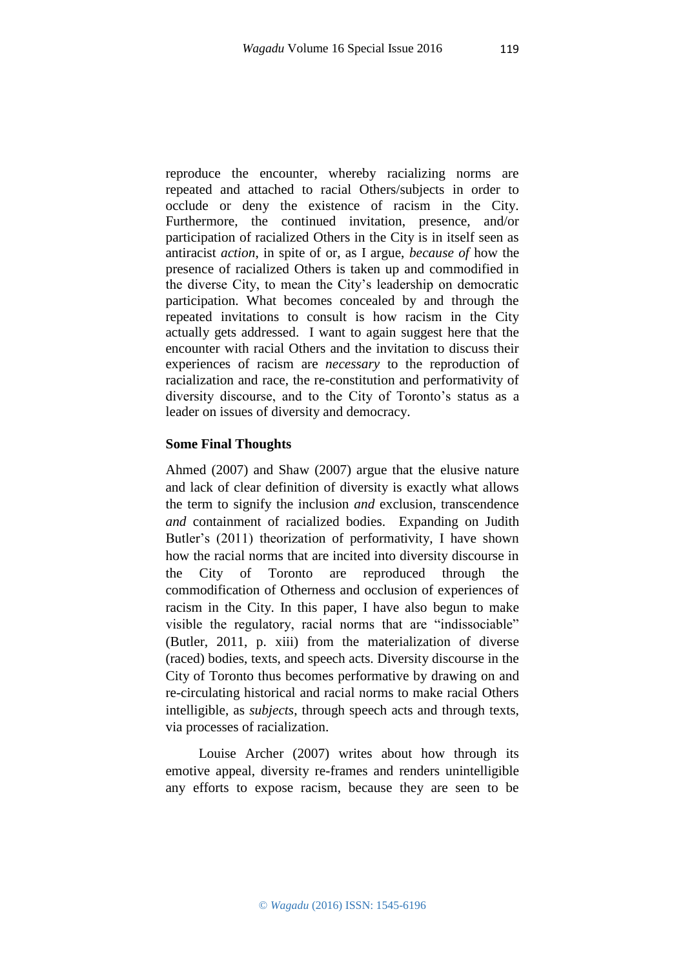reproduce the encounter, whereby racializing norms are repeated and attached to racial Others/subjects in order to occlude or deny the existence of racism in the City. Furthermore, the continued invitation, presence, and/or participation of racialized Others in the City is in itself seen as antiracist *action*, in spite of or, as I argue, *because of* how the presence of racialized Others is taken up and commodified in the diverse City, to mean the City's leadership on democratic participation. What becomes concealed by and through the repeated invitations to consult is how racism in the City actually gets addressed. I want to again suggest here that the encounter with racial Others and the invitation to discuss their experiences of racism are *necessary* to the reproduction of racialization and race, the re-constitution and performativity of diversity discourse, and to the City of Toronto's status as a leader on issues of diversity and democracy.

## **Some Final Thoughts**

Ahmed (2007) and Shaw (2007) argue that the elusive nature and lack of clear definition of diversity is exactly what allows the term to signify the inclusion *and* exclusion, transcendence *and* containment of racialized bodies. Expanding on Judith Butler's (2011) theorization of performativity, I have shown how the racial norms that are incited into diversity discourse in the City of Toronto are reproduced through the commodification of Otherness and occlusion of experiences of racism in the City. In this paper, I have also begun to make visible the regulatory, racial norms that are "indissociable" (Butler, 2011, p. xiii) from the materialization of diverse (raced) bodies, texts, and speech acts. Diversity discourse in the City of Toronto thus becomes performative by drawing on and re-circulating historical and racial norms to make racial Others intelligible, as *subjects*, through speech acts and through texts, via processes of racialization.

Louise Archer (2007) writes about how through its emotive appeal, diversity re-frames and renders unintelligible any efforts to expose racism, because they are seen to be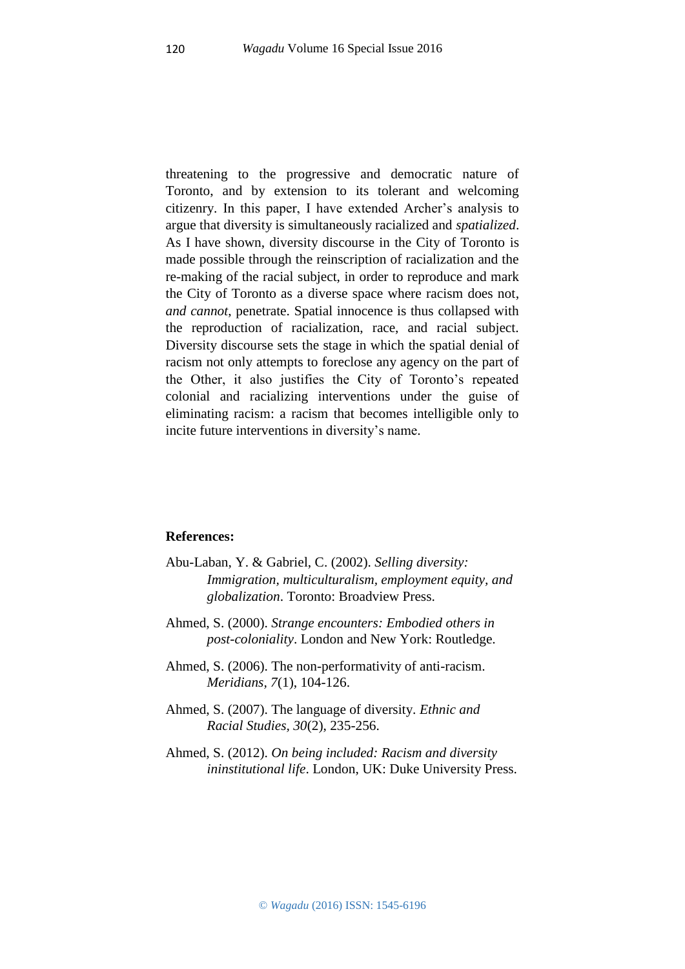threatening to the progressive and democratic nature of Toronto, and by extension to its tolerant and welcoming citizenry. In this paper, I have extended Archer's analysis to argue that diversity is simultaneously racialized and *spatialized*. As I have shown, diversity discourse in the City of Toronto is made possible through the reinscription of racialization and the re-making of the racial subject, in order to reproduce and mark the City of Toronto as a diverse space where racism does not, *and cannot*, penetrate. Spatial innocence is thus collapsed with the reproduction of racialization, race, and racial subject. Diversity discourse sets the stage in which the spatial denial of racism not only attempts to foreclose any agency on the part of the Other, it also justifies the City of Toronto's repeated colonial and racializing interventions under the guise of eliminating racism: a racism that becomes intelligible only to incite future interventions in diversity's name.

### **References:**

- Abu-Laban, Y. & Gabriel, C. (2002). *Selling diversity: Immigration, multiculturalism, employment equity, and globalization*. Toronto: Broadview Press.
- Ahmed, S. (2000). *Strange encounters: Embodied others in post-coloniality*. London and New York: Routledge.
- Ahmed, S. (2006). The non-performativity of anti-racism. *Meridians, 7*(1), 104-126.
- Ahmed, S. (2007). The language of diversity. *Ethnic and Racial Studies, 30*(2), 235-256.
- Ahmed, S. (2012). *On being included: Racism and diversity ininstitutional life*. London, UK: Duke University Press.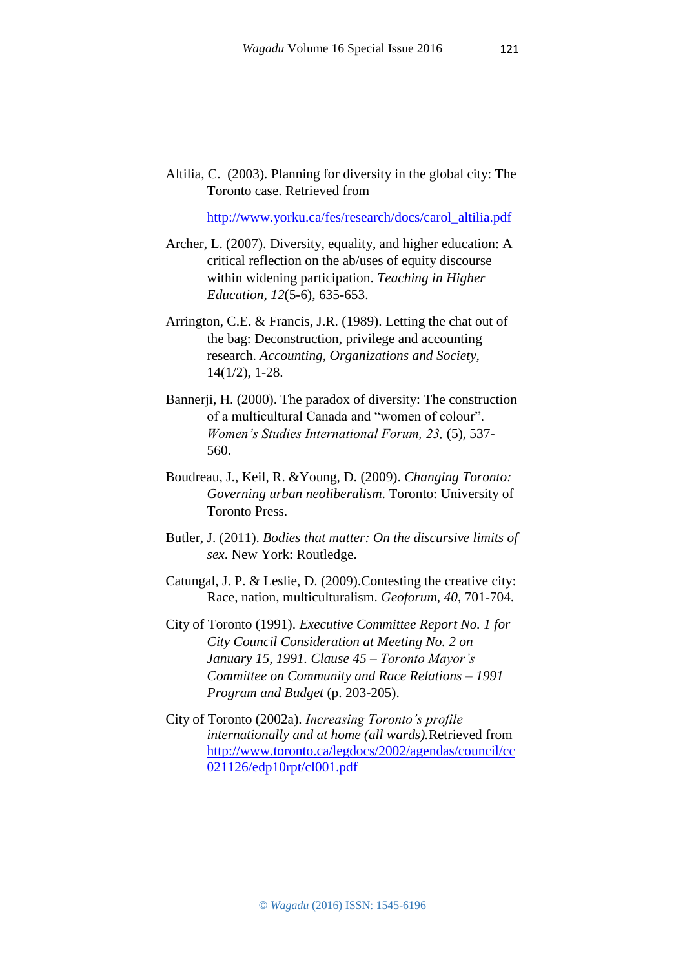Altilia, C. (2003). Planning for diversity in the global city: The Toronto case. Retrieved from

[http://www.yorku.ca/fes/research/docs/carol\\_altilia.pdf](http://www.yorku.ca/fes/research/docs/carol_altilia.pdf)

- Archer, L. (2007). Diversity, equality, and higher education: A critical reflection on the ab/uses of equity discourse within widening participation. *Teaching in Higher Education, 12*(5-6), 635-653.
- Arrington, C.E. & Francis, J.R. (1989). Letting the chat out of the bag: Deconstruction, privilege and accounting research. *Accounting, Organizations and Society,*  14(1/2), 1-28.
- Bannerji, H. (2000). The paradox of diversity: The construction of a multicultural Canada and "women of colour". *Women's Studies International Forum, 23,* (5), 537- 560.
- Boudreau, J., Keil, R. &Young, D. (2009). *Changing Toronto: Governing urban neoliberalism*. Toronto: University of Toronto Press.
- Butler, J. (2011). *Bodies that matter: On the discursive limits of sex*. New York: Routledge.
- Catungal, J. P. & Leslie, D. (2009).Contesting the creative city: Race, nation, multiculturalism. *Geoforum, 40*, 701-704.
- City of Toronto (1991). *Executive Committee Report No. 1 for City Council Consideration at Meeting No. 2 on January 15, 1991. Clause 45 – Toronto Mayor's Committee on Community and Race Relations – 1991 Program and Budget* (p. 203-205).
- City of Toronto (2002a). *Increasing Toronto's profile internationally and at home (all wards).*Retrieved from [http://www.toronto.ca/legdocs/2002/agendas/council/cc](http://www.toronto.ca/legdocs/2002/agendas/council/cc021126/edp10rpt/cl001.pdf) [021126/edp10rpt/cl001.pdf](http://www.toronto.ca/legdocs/2002/agendas/council/cc021126/edp10rpt/cl001.pdf)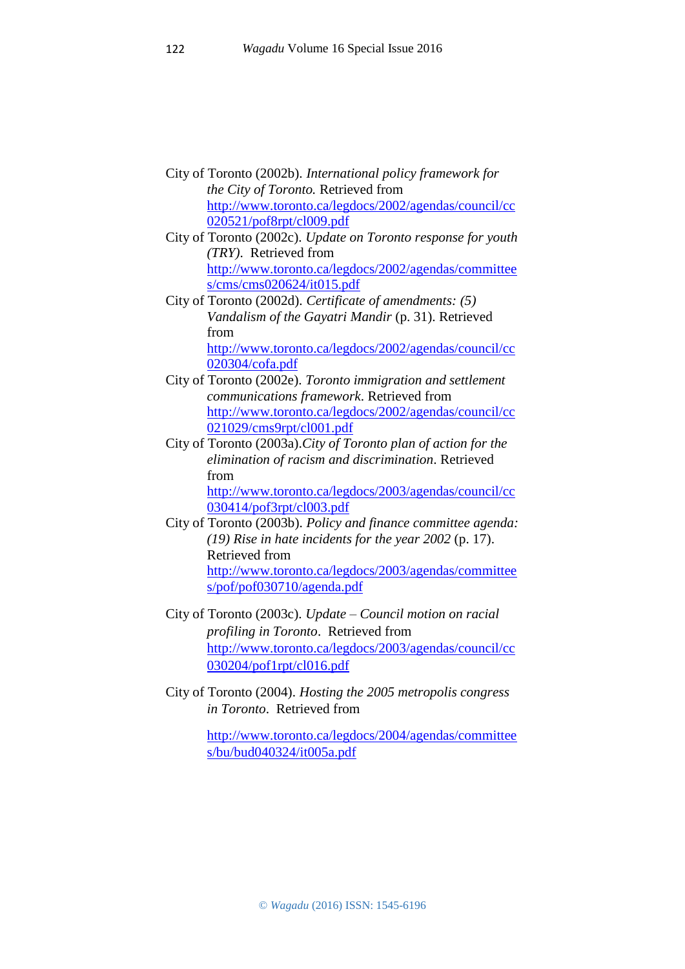- City of Toronto (2002b). *International policy framework for the City of Toronto.* Retrieved from [http://www.toronto.ca/legdocs/2002/agendas/council/cc](http://www.toronto.ca/legdocs/2002/agendas/council/cc020521/pof8rpt/cl009.pdf) [020521/pof8rpt/cl009.pdf](http://www.toronto.ca/legdocs/2002/agendas/council/cc020521/pof8rpt/cl009.pdf)
- City of Toronto (2002c). *Update on Toronto response for youth (TRY)*. Retrieved from [http://www.toronto.ca/legdocs/2002/agendas/committee](http://www.toronto.ca/legdocs/2002/agendas/committees/cms/cms020624/it015.pdf) [s/cms/cms020624/it015.pdf](http://www.toronto.ca/legdocs/2002/agendas/committees/cms/cms020624/it015.pdf)
- City of Toronto (2002d). *Certificate of amendments: (5) Vandalism of the Gayatri Mandir* (p. 31). Retrieved from [http://www.toronto.ca/legdocs/2002/agendas/council/cc](http://www.toronto.ca/legdocs/2002/agendas/council/cc020304/cofa.pdf) [020304/cofa.pdf](http://www.toronto.ca/legdocs/2002/agendas/council/cc020304/cofa.pdf)
- City of Toronto (2002e). *Toronto immigration and settlement communications framework*. Retrieved from [http://www.toronto.ca/legdocs/2002/agendas/council/cc](http://www.toronto.ca/legdocs/2002/agendas/council/cc021029/cms9rpt/cl001.pdf) [021029/cms9rpt/cl001.pdf](http://www.toronto.ca/legdocs/2002/agendas/council/cc021029/cms9rpt/cl001.pdf)
- City of Toronto (2003a).*City of Toronto plan of action for the elimination of racism and discrimination*. Retrieved from

[http://www.toronto.ca/legdocs/2003/agendas/council/cc](http://www.toronto.ca/legdocs/2003/agendas/council/cc030414/pof3rpt/cl003.pdf) [030414/pof3rpt/cl003.pdf](http://www.toronto.ca/legdocs/2003/agendas/council/cc030414/pof3rpt/cl003.pdf)

- City of Toronto (2003b). *Policy and finance committee agenda: (19) Rise in hate incidents for the year 2002* (p. 17). Retrieved from [http://www.toronto.ca/legdocs/2003/agendas/committee](http://www.toronto.ca/legdocs/2003/agendas/committees/pof/pof030710/agenda.pdf) [s/pof/pof030710/agenda.pdf](http://www.toronto.ca/legdocs/2003/agendas/committees/pof/pof030710/agenda.pdf)
- City of Toronto (2003c). *Update – Council motion on racial profiling in Toronto*. Retrieved from [http://www.toronto.ca/legdocs/2003/agendas/council/cc](http://www.toronto.ca/legdocs/2003/agendas/council/cc030204/pof1rpt/cl016.pdf) [030204/pof1rpt/cl016.pdf](http://www.toronto.ca/legdocs/2003/agendas/council/cc030204/pof1rpt/cl016.pdf)
- City of Toronto (2004). *Hosting the 2005 metropolis congress in Toronto*. Retrieved from

[http://www.toronto.ca/legdocs/2004/agendas/committee](http://www.toronto.ca/legdocs/2004/agendas/committees/bu/bud040324/it005a.pdf) [s/bu/bud040324/it005a.pdf](http://www.toronto.ca/legdocs/2004/agendas/committees/bu/bud040324/it005a.pdf)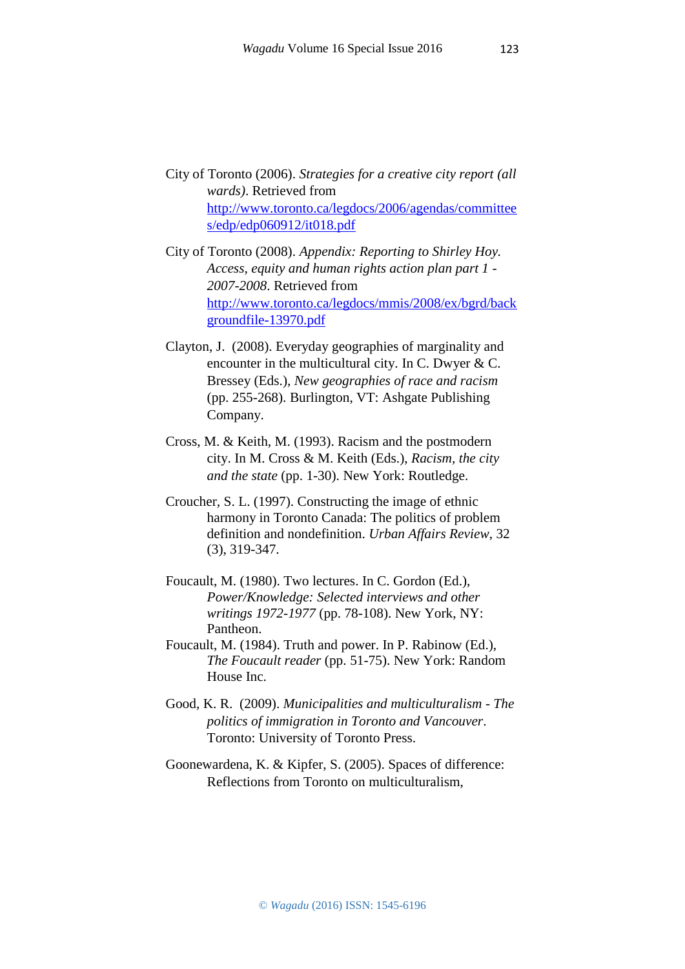- City of Toronto (2006). *Strategies for a creative city report (all wards)*. Retrieved from [http://www.toronto.ca/legdocs/2006/agendas/committee](http://www.toronto.ca/legdocs/2006/agendas/committees/edp/edp060912/it018.pdf) [s/edp/edp060912/it018.pdf](http://www.toronto.ca/legdocs/2006/agendas/committees/edp/edp060912/it018.pdf)
- City of Toronto (2008). *Appendix: Reporting to Shirley Hoy. Access, equity and human rights action plan part 1 - 2007-2008*. Retrieved from [http://www.toronto.ca/legdocs/mmis/2008/ex/bgrd/back](http://www.toronto.ca/legdocs/mmis/2008/ex/bgrd/backgroundfile-13970.pdf) [groundfile-13970.pdf](http://www.toronto.ca/legdocs/mmis/2008/ex/bgrd/backgroundfile-13970.pdf)
- Clayton, J. (2008). Everyday geographies of marginality and encounter in the multicultural city. In C. Dwyer & C. Bressey (Eds.), *New geographies of race and racism*  (pp. 255-268). Burlington, VT: Ashgate Publishing Company.
- Cross, M. & Keith, M. (1993). Racism and the postmodern city. In M. Cross & M. Keith (Eds.), *Racism, the city and the state* (pp. 1-30). New York: Routledge.
- Croucher, S. L. (1997). Constructing the image of ethnic harmony in Toronto Canada: The politics of problem definition and nondefinition. *Urban Affairs Review*, 32 (3), 319-347.
- Foucault, M. (1980). Two lectures. In C. Gordon (Ed.), *Power/Knowledge: Selected interviews and other writings 1972-1977* (pp. 78-108). New York, NY: Pantheon.
- Foucault, M. (1984). Truth and power. In P. Rabinow (Ed.), *The Foucault reader* (pp. 51-75). New York: Random House Inc.
- Good, K. R. (2009). *Municipalities and multiculturalism - The politics of immigration in Toronto and Vancouver*. Toronto: University of Toronto Press.
- Goonewardena, K. & Kipfer, S. (2005). Spaces of difference: Reflections from Toronto on multiculturalism,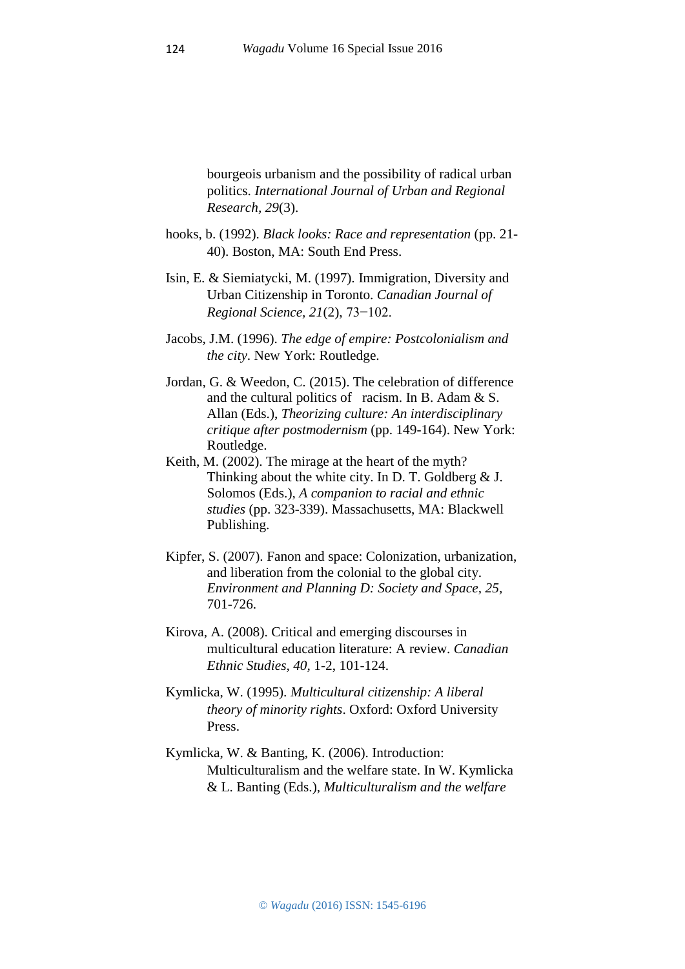bourgeois urbanism and the possibility of radical urban politics. *International Journal of Urban and Regional Research, 29*(3).

- hooks, b. (1992). *Black looks: Race and representation* (pp. 21- 40). Boston, MA: South End Press.
- Isin, E. & Siemiatycki, M. (1997). Immigration, Diversity and Urban Citizenship in Toronto. *Canadian Journal of Regional Science, 21*(2), 73−102.
- Jacobs, J.M. (1996). *The edge of empire: Postcolonialism and the city*. New York: Routledge.
- Jordan, G. & Weedon, C. (2015). The celebration of difference and the cultural politics of racism. In B. Adam & S. Allan (Eds.), *Theorizing culture: An interdisciplinary critique after postmodernism* (pp. 149-164). New York: Routledge.
- Keith, M. (2002). The mirage at the heart of the myth? Thinking about the white city. In D. T. Goldberg & J. Solomos (Eds.), *A companion to racial and ethnic studies* (pp. 323-339). Massachusetts, MA: Blackwell Publishing.
- Kipfer, S. (2007). Fanon and space: Colonization, urbanization, and liberation from the colonial to the global city. *Environment and Planning D: Society and Space, 25,*  701-726.
- Kirova, A. (2008). Critical and emerging discourses in multicultural education literature: A review. *Canadian Ethnic Studies, 40,* 1-2, 101-124.
- Kymlicka, W. (1995). *Multicultural citizenship: A liberal theory of minority rights*. Oxford: Oxford University Press.
- Kymlicka, W. & Banting, K. (2006). Introduction: Multiculturalism and the welfare state. In W. Kymlicka & L. Banting (Eds.), *Multiculturalism and the welfare*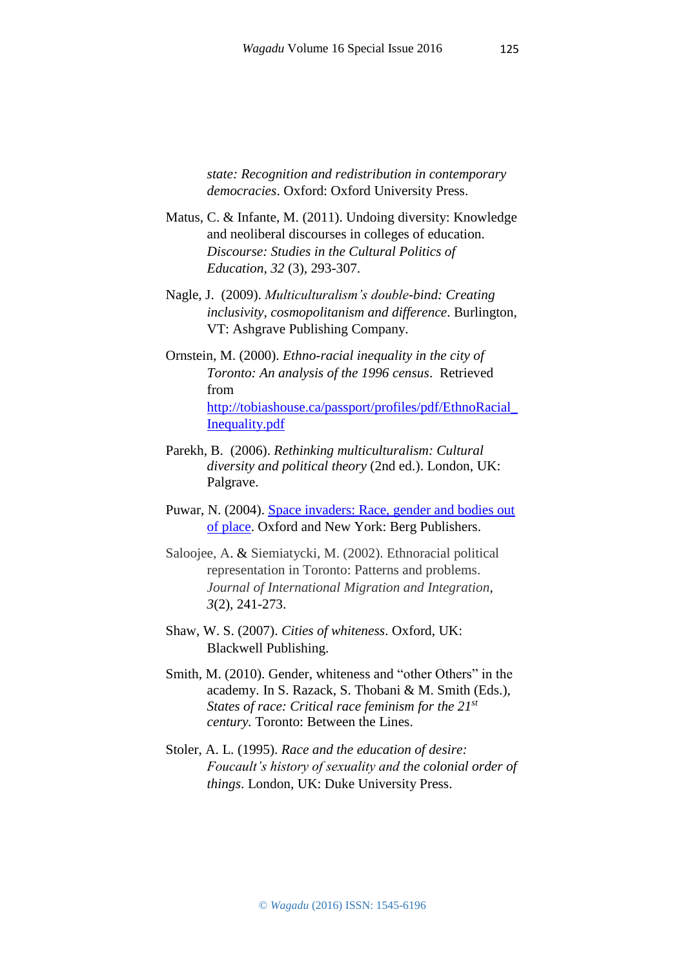*state: Recognition and redistribution in contemporary democracies*. Oxford: Oxford University Press.

- Matus, C. & Infante, M. (2011). Undoing diversity: Knowledge and neoliberal discourses in colleges of education. *Discourse: Studies in the Cultural Politics of Education, 32* (3), 293-307.
- Nagle, J. (2009). *Multiculturalism's double-bind: Creating inclusivity, cosmopolitanism and difference*. Burlington, VT: Ashgrave Publishing Company.
- Ornstein, M. (2000). *Ethno-racial inequality in the city of Toronto: An analysis of the 1996 census*. Retrieved from [http://tobiashouse.ca/passport/profiles/pdf/EthnoRacial\\_](http://tobiashouse.ca/passport/profiles/pdf/EthnoRacial_Inequality.pdf) [Inequality.pdf](http://tobiashouse.ca/passport/profiles/pdf/EthnoRacial_Inequality.pdf)
- Parekh, B. (2006). *Rethinking multiculturalism: Cultural diversity and political theory* (2nd ed.). London, UK: Palgrave.
- Puwar, N. (2004). [Space invaders: Race, gender and bodies out](http://www.bergpublishers.com/?tabid=1858)  [of place.](http://www.bergpublishers.com/?tabid=1858) Oxford and New York: Berg Publishers.
- Saloojee, A. & Siemiatycki, M. (2002). Ethnoracial political representation in Toronto: Patterns and problems. *Journal of International Migration and Integration, 3*(2), 241-273.
- Shaw, W. S. (2007). *Cities of whiteness*. Oxford, UK: Blackwell Publishing.
- Smith, M. (2010). Gender, whiteness and "other Others" in the academy. In S. Razack, S. Thobani & M. Smith (Eds.), *States of race: Critical race feminism for the 21st century.* Toronto: Between the Lines.
- Stoler, A. L. (1995). *Race and the education of desire: Foucault's history of sexuality and the colonial order of things*. London, UK: Duke University Press.